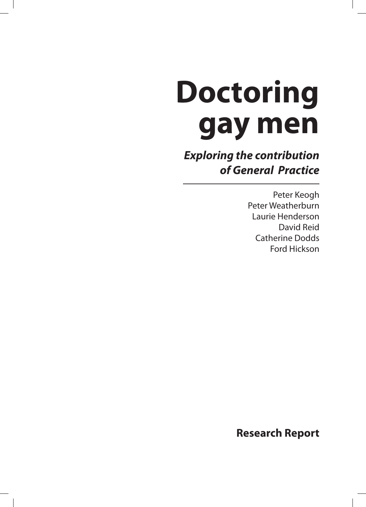# **Doctoring gay men**

**Exploring the contribution of General Practice**

> Peter Keogh Peter Weatherburn Laurie Henderson David Reid Catherine Dodds Ford Hickson

**Research Report**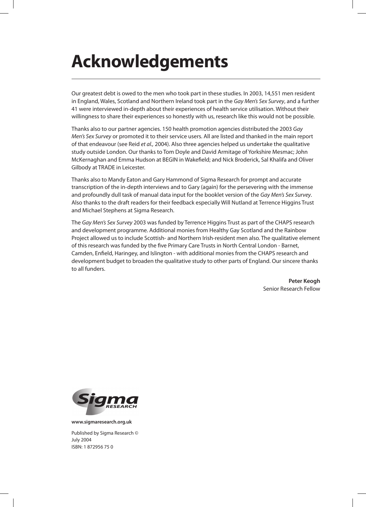## **Acknowledgements**

Our greatest debt is owed to the men who took part in these studies. In 2003, 14,551 men resident in England, Wales, Scotland and Northern Ireland took part in the Gay Men's Sex Survey, and a further 41 were interviewed in-depth about their experiences of health service utilisation. Without their willingness to share their experiences so honestly with us, research like this would not be possible.

Thanks also to our partner agencies. 150 health promotion agencies distributed the 2003 Gay Men's Sex Survey or promoted it to their service users. All are listed and thanked in the main report of that endeavour (see Reid et al., 2004). Also three agencies helped us undertake the qualitative study outside London. Our thanks to Tom Doyle and David Armitage of Yorkshire Mesmac; John McKernaghan and Emma Hudson at BEGIN in Wakefield; and Nick Broderick, Sal Khalifa and Oliver Gilbody at TRADE in Leicester.

Thanks also to Mandy Eaton and Gary Hammond of Sigma Research for prompt and accurate transcription of the in-depth interviews and to Gary (again) for the persevering with the immense and profoundly dull task of manual data input for the booklet version of the Gay Men's Sex Survey. Also thanks to the draft readers for their feedback especially Will Nutland at Terrence Higgins Trust and Michael Stephens at Sigma Research.

The Gay Men's Sex Survey 2003 was funded by Terrence Higgins Trust as part of the CHAPS research and development programme. Additional monies from Healthy Gay Scotland and the Rainbow Project allowed us to include Scottish- and Northern Irish-resident men also. The qualitative element of this research was funded by the five Primary Care Trusts in North Central London - Barnet, Camden, Enfield, Haringey, and Islington - with additional monies from the CHAPS research and development budget to broaden the qualitative study to other parts of England. Our sincere thanks to all funders.

> **Peter Keogh** Senior Research Fellow



**www.sigmaresearch.org.uk**

Published by Sigma Research © July 2004 ISBN: 1 872956 75 0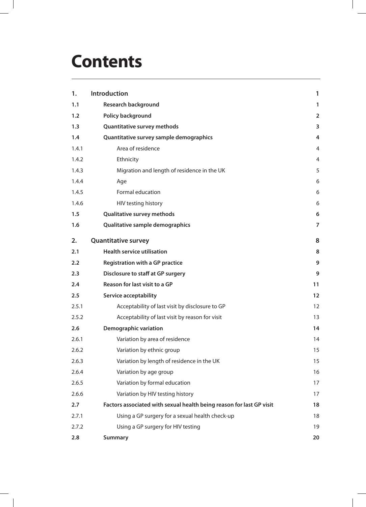## **Contents**

| 1.    | Introduction                                                         | 1              |
|-------|----------------------------------------------------------------------|----------------|
| 1.1   | <b>Research background</b>                                           | $\mathbf{1}$   |
| 1.2   | Policy background                                                    | $\overline{2}$ |
| 1.3   | <b>Quantitative survey methods</b>                                   | 3              |
| 1.4   | Quantitative survey sample demographics                              | 4              |
| 1.4.1 | Area of residence                                                    | $\overline{4}$ |
| 1.4.2 | Ethnicity                                                            | 4              |
| 1.4.3 | Migration and length of residence in the UK                          | 5              |
| 1.4.4 | Age                                                                  | 6              |
| 1.4.5 | Formal education                                                     | 6              |
| 1.4.6 | HIV testing history                                                  | 6              |
| 1.5   | <b>Qualitative survey methods</b>                                    | 6              |
| 1.6   | Qualitative sample demographics                                      | $\overline{7}$ |
| 2.    | <b>Quantitative survey</b>                                           | 8              |
| 2.1   | <b>Health service utilisation</b>                                    | 8              |
| 2.2   | <b>Registration with a GP practice</b>                               | 9              |
| 2.3   | <b>Disclosure to staff at GP surgery</b>                             | 9              |
| 2.4   | Reason for last visit to a GP                                        | 11             |
| 2.5   | <b>Service acceptability</b>                                         | 12             |
| 2.5.1 | Acceptability of last visit by disclosure to GP                      | 12             |
| 2.5.2 | Acceptability of last visit by reason for visit                      | 13             |
| 2.6   | <b>Demographic variation</b>                                         | 14             |
| 2.6.1 | Variation by area of residence                                       | 14             |
| 2.6.2 | Variation by ethnic group                                            | 15             |
| 2.6.3 | Variation by length of residence in the UK                           | 15             |
| 2.6.4 | Variation by age group                                               | 16             |
| 2.6.5 | Variation by formal education                                        | 17             |
| 2.6.6 | Variation by HIV testing history                                     | 17             |
| 2.7   | Factors associated with sexual health being reason for last GP visit | 18             |
| 2.7.1 | Using a GP surgery for a sexual health check-up                      | 18             |
| 2.7.2 | Using a GP surgery for HIV testing                                   | 19             |
| 2.8   | <b>Summary</b>                                                       | 20             |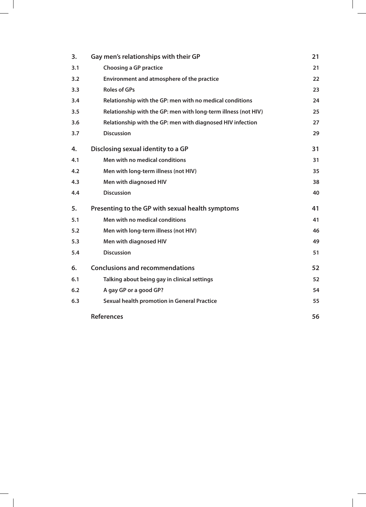| 3.  | Gay men's relationships with their GP                          | 21 |
|-----|----------------------------------------------------------------|----|
| 3.1 | <b>Choosing a GP practice</b>                                  | 21 |
| 3.2 | Environment and atmosphere of the practice                     | 22 |
| 3.3 | <b>Roles of GPs</b>                                            | 23 |
| 3.4 | Relationship with the GP: men with no medical conditions       | 24 |
| 3.5 | Relationship with the GP: men with long-term illness (not HIV) | 25 |
| 3.6 | Relationship with the GP: men with diagnosed HIV infection     | 27 |
| 3.7 | <b>Discussion</b>                                              | 29 |
| 4.  | Disclosing sexual identity to a GP                             | 31 |
| 4.1 | Men with no medical conditions                                 | 31 |
| 4.2 | Men with long-term illness (not HIV)                           | 35 |
| 4.3 | Men with diagnosed HIV                                         | 38 |
| 4.4 | <b>Discussion</b>                                              | 40 |
| 5.  | Presenting to the GP with sexual health symptoms               | 41 |
| 5.1 | Men with no medical conditions                                 | 41 |
| 5.2 | Men with long-term illness (not HIV)                           | 46 |
| 5.3 | Men with diagnosed HIV                                         | 49 |
| 5.4 | <b>Discussion</b>                                              | 51 |
| 6.  | <b>Conclusions and recommendations</b>                         | 52 |
| 6.1 | Talking about being gay in clinical settings                   | 52 |
| 6.2 | A gay GP or a good GP?                                         | 54 |
| 6.3 | <b>Sexual health promotion in General Practice</b>             | 55 |
|     | <b>References</b>                                              | 56 |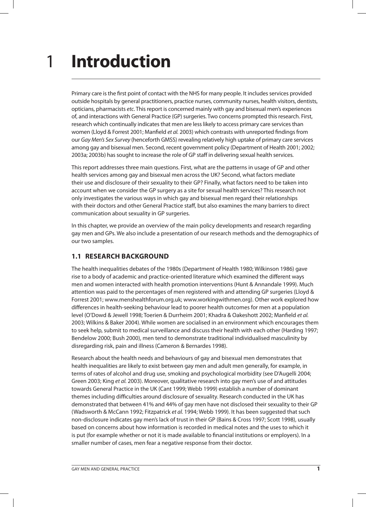## **Introduction** 1

Primary care is the first point of contact with the NHS for many people. It includes services provided outside hospitals by general practitioners, practice nurses, community nurses, health visitors, dentists, opticians, pharmacists etc. This report is concerned mainly with gay and bisexual men's experiences of, and interactions with General Practice (GP) surgeries. Two concerns prompted this research. First, research which continually indicates that men are less likely to access primary care services than women (Lloyd & Forrest 2001; Manfield et al. 2003) which contrasts with unreported findings from our Gay Men's Sex Survey (henceforth GMSS) revealing relatively high uptake of primary care services among gay and bisexual men. Second, recent government policy (Department of Health 2001; 2002; 2003a; 2003b) has sought to increase the role of GP staff in delivering sexual health services.

This report addresses three main questions. First, what are the patterns in usage of GP and other health services among gay and bisexual men across the UK? Second, what factors mediate their use and disclosure of their sexuality to their GP? Finally, what factors need to be taken into account when we consider the GP surgery as a site for sexual health services? This research not only investigates the various ways in which gay and bisexual men regard their relationships with their doctors and other General Practice staff, but also examines the many barriers to direct communication about sexuality in GP surgeries.

In this chapter, we provide an overview of the main policy developments and research regarding gay men and GPs. We also include a presentation of our research methods and the demographics of our two samples.

## **1.1 RESEARCH BACKGROUND**

The health inequalities debates of the 1980s (Department of Health 1980; Wilkinson 1986) gave rise to a body of academic and practice-oriented literature which examined the different ways men and women interacted with health promotion interventions (Hunt & Annandale 1999). Much attention was paid to the percentages of men registered with and attending GP surgeries (Lloyd & Forrest 2001; www.menshealthforum.org.uk; www.workingwithmen.org). Other work explored how differences in health-seeking behaviour lead to poorer health outcomes for men at a population level (O'Dowd & Jewell 1998; Toerien & Durrheim 2001; Khadra & Oakeshott 2002; Manfield et al. 2003; Wilkins & Baker 2004). While women are socialised in an environment which encourages them to seek help, submit to medical surveillance and discuss their health with each other (Harding 1997; Bendelow 2000; Bush 2000), men tend to demonstrate traditional individualised masculinity by disregarding risk, pain and illness (Cameron & Bernardes 1998).

Research about the health needs and behaviours of gay and bisexual men demonstrates that health inequalities are likely to exist between gay men and adult men generally, for example, in terms of rates of alcohol and drug use, smoking and psychological morbidity (see D'Augelli 2004; Green 2003; King et al. 2003). Moreover, qualitative research into gay men's use of and attitudes towards General Practice in the UK (Cant 1999; Webb 1999) establish a number of dominant themes including difficulties around disclosure of sexuality. Research conducted in the UK has demonstrated that between 41% and 44% of gay men have not disclosed their sexuality to their GP (Wadsworth & McCann 1992; Fitzpatrick et al. 1994; Webb 1999). It has been suggested that such non-disclosure indicates gay men's lack of trust in their GP (Bains & Cross 1997; Scott 1998), usually based on concerns about how information is recorded in medical notes and the uses to which it is put (for example whether or not it is made available to financial institutions or employers). In a smaller number of cases, men fear a negative response from their doctor.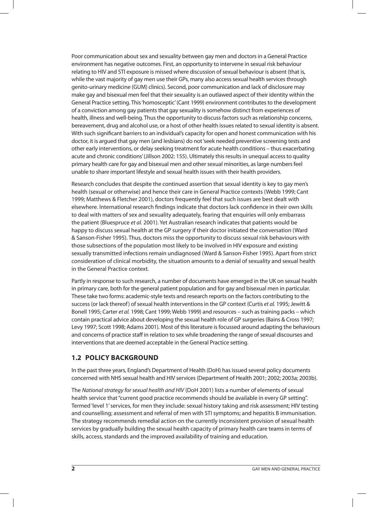Poor communication about sex and sexuality between gay men and doctors in a General Practice environment has negative outcomes. First, an opportunity to intervene in sexual risk behaviour relating to HIV and STI exposure is missed where discussion of sexual behaviour is absent (that is, while the vast majority of gay men use their GPs, many also access sexual health services through genito-urinary medicine (GUM) clinics). Second, poor communication and lack of disclosure may make gay and bisexual men feel that their sexuality is an outlawed aspect of their identity within the General Practice setting. This 'homosceptic' (Cant 1999) environment contributes to the development of a conviction among gay patients that gay sexuality is somehow distinct from experiences of health, illness and well-being. Thus the opportunity to discuss factors such as relationship concerns, bereavement, drug and alcohol use, or a host of other health issues related to sexual identity is absent. With such significant barriers to an individual's capacity for open and honest communication with his doctor, it is argued that gay men (and lesbians) do not 'seek needed preventive screening tests and other early interventions, or delay seeking treatment for acute health conditions – thus exacerbating acute and chronic conditions' (Jillson 2002: 155). Ultimately this results in unequal access to quality primary health care for gay and bisexual men and other sexual minorities, as large numbers feel unable to share important lifestyle and sexual health issues with their health providers.

Research concludes that despite the continued assertion that sexual identity is key to gay men's health (sexual or otherwise) and hence their care in General Practice contexts (Webb 1999; Cant 1999; Matthews & Fletcher 2001), doctors frequently feel that such issues are best dealt with elsewhere. International research findings indicate that doctors lack confidence in their own skills to deal with matters of sex and sexuality adequately, fearing that enquiries will only embarrass the patient (Bluespruce et al. 2001). Yet Australian research indicates that patients would be happy to discuss sexual health at the GP surgery if their doctor initiated the conversation (Ward & Sanson-Fisher 1995). Thus, doctors miss the opportunity to discuss sexual risk behaviours with those subsections of the population most likely to be involved in HIV exposure and existing sexually transmitted infections remain undiagnosed (Ward & Sanson-Fisher 1995). Apart from strict consideration of clinical morbidity, the situation amounts to a denial of sexuality and sexual health in the General Practice context.

Partly in response to such research, a number of documents have emerged in the UK on sexual health in primary care, both for the general patient population and for gay and bisexual men in particular. These take two forms: academic-style texts and research reports on the factors contributing to the success (or lack thereof) of sexual health interventions in the GP context (Curtis et al. 1995; Jewitt & Bonell 1995; Carter et al. 1998; Cant 1999; Webb 1999) and resources – such as training packs – which contain practical advice about developing the sexual health role of GP surgeries (Bains & Cross 1997; Levy 1997; Scott 1998; Adams 2001). Most of this literature is focussed around adapting the behaviours and concerns of practice staff in relation to sex while broadening the range of sexual discourses and interventions that are deemed acceptable in the General Practice setting.

## **1.2 POLICY BACKGROUND**

In the past three years, England's Department of Health (DoH) has issued several policy documents concerned with NHS sexual health and HIV services (Department of Health 2001; 2002; 2003a; 2003b).

The National strategy for sexual health and HIV (DoH 2001) lists a number of elements of sexual health service that "current good practice recommends should be available in every GP setting". Termed 'level 1' services, for men they include: sexual history taking and risk assessment; HIV testing and counselling; assessment and referral of men with STI symptoms; and hepatitis B immunisation. The strategy recommends remedial action on the currently inconsistent provision of sexual health services by gradually building the sexual health capacity of primary health care teams in terms of skills, access, standards and the improved availability of training and education.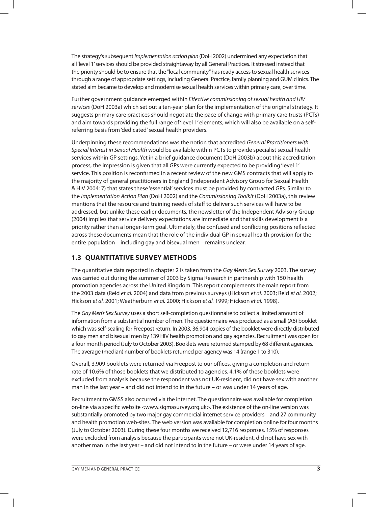The strategy's subsequent Implementation action plan (DoH 2002) undermined any expectation that all 'level 1' services should be provided straightaway by all General Practices. It stressed instead that the priority should be to ensure that the "local community" has ready access to sexual health services through a range of appropriate settings, including General Practice, family planning and GUM clinics. The stated aim became to develop and modernise sexual health services within primary care, over time.

Further government guidance emerged within Effective commissioning of sexual health and HIV services (DoH 2003a) which set out a ten-year plan for the implementation of the original strategy. It suggests primary care practices should negotiate the pace of change with primary care trusts (PCTs) and aim towards providing the full range of 'level 1' elements, which will also be available on a selfreferring basis from 'dedicated' sexual health providers.

Underpinning these recommendations was the notion that accredited General Practitioners with Special Interest in Sexual Health would be available within PCTs to provide specialist sexual health services within GP settings. Yet in a brief guidance document (DoH 2003b) about this accreditation process, the impression is given that all GPs were currently expected to be providing 'level 1' service. This position is reconfirmed in a recent review of the new GMS contracts that will apply to the majority of general practitioners in England (Independent Advisory Group for Sexual Health & HIV 2004: 7) that states these 'essential' services must be provided by contracted GPs. Similar to the Implementation Action Plan (DoH 2002) and the Commissioning Toolkit (DoH 2003a), this review mentions that the resource and training needs of staff to deliver such services will have to be addressed, but unlike these earlier documents, the newsletter of the Independent Advisory Group (2004) implies that service delivery expectations are immediate and that skills development is a priority rather than a longer-term goal. Ultimately, the confused and conflicting positions reflected across these documents mean that the role of the individual GP in sexual health provision for the entire population – including gay and bisexual men – remains unclear.

## **1.3 QUANTITATIVE SURVEY METHODS**

The quantitative data reported in chapter 2 is taken from the Gay Men's Sex Survey 2003. The survey was carried out during the summer of 2003 by Sigma Research in partnership with 150 health promotion agencies across the United Kingdom. This report complements the main report from the 2003 data (Reid et al. 2004) and data from previous surveys (Hickson et al. 2003; Reid et al. 2002; Hickson et al. 2001; Weatherburn et al. 2000; Hickson et al. 1999; Hickson et al. 1998).

The Gay Men's Sex Survey uses a short self-completion questionnaire to collect a limited amount of information from a substantial number of men. The questionnaire was produced as a small (A6) booklet which was self-sealing for Freepost return. In 2003, 36,904 copies of the booklet were directly distributed to gay men and bisexual men by 139 HIV health promotion and gay agencies. Recruitment was open for a four month period (July to October 2003). Booklets were returned stamped by 68 different agencies. The average (median) number of booklets returned per agency was 14 (range 1 to 310).

Overall, 3,909 booklets were returned via Freepost to our offices, giving a completion and return rate of 10.6% of those booklets that we distributed to agencies. 4.1% of these booklets were excluded from analysis because the respondent was not UK-resident, did not have sex with another man in the last year – and did not intend to in the future – or was under 14 years of age.

Recruitment to GMSS also occurred via the internet. The questionnaire was available for completion on-line via a specific website <www.sigmasurvey.org.uk>. The existence of the on-line version was substantially promoted by two major gay commercial internet service providers – and 27 community and health promotion web-sites. The web version was available for completion online for four months (July to October 2003). During these four months we received 12,716 responses. 15% of responses were excluded from analysis because the participants were not UK-resident, did not have sex with another man in the last year – and did not intend to in the future – or were under 14 years of age.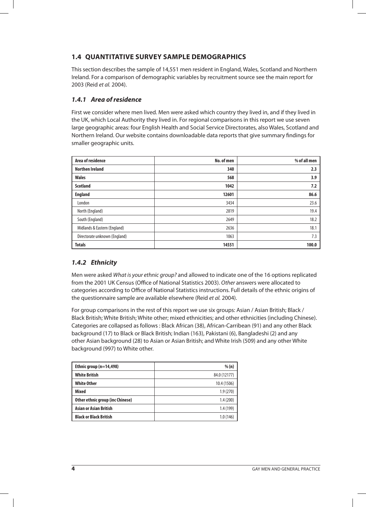## **1.4 QUANTITATIVE SURVEY SAMPLE DEMOGRAPHICS**

This section describes the sample of 14,551 men resident in England, Wales, Scotland and Northern Ireland. For a comparison of demographic variables by recruitment source see the main report for 2003 (Reid et al. 2004).

## **1.4.1 Area of residence**

First we consider where men lived. Men were asked which country they lived in, and if they lived in the UK, which Local Authority they lived in. For regional comparisons in this report we use seven large geographic areas: four English Health and Social Service Directorates, also Wales, Scotland and Northern Ireland. Our website contains downloadable data reports that give summary findings for smaller geographic units.

| Area of residence             | No. of men | % of all men |
|-------------------------------|------------|--------------|
| <b>Northen Ireland</b>        | 340        | 2.3          |
| <b>Wales</b>                  | 568        | 3.9          |
| <b>Scotland</b>               | 1042       | 7.2          |
| <b>England</b>                | 12601      | 86.6         |
| London                        | 3434       | 23.6         |
| North (England)               | 2819       | 19.4         |
| South (England)               | 2649       | 18.2         |
| Midlands & Eastern (England)  | 2636       | 18.1         |
| Directorate unknown (England) | 1063       | 7.3          |
| <b>Totals</b>                 | 14551      | 100.0        |

## **1.4.2 Ethnicity**

Men were asked What is your ethnic group? and allowed to indicate one of the 16 options replicated from the 2001 UK Census (Office of National Statistics 2003). Other answers were allocated to categories according to Office of National Statistics instructions. Full details of the ethnic origins of the questionnaire sample are available elsewhere (Reid et al. 2004).

For group comparisons in the rest of this report we use six groups: Asian / Asian British; Black / Black British; White British; White other; mixed ethnicities; and other ethnicities (including Chinese). Categories are collapsed as follows : Black African (38), African-Carribean (91) and any other Black background (17) to Black or Black British; Indian (163), Pakistani (6), Bangladeshi (2) and any other Asian background (28) to Asian or Asian British; and White Irish (509) and any other White background (997) to White other.

| Ethnic group $(n=14,498)$        | % (n)        |
|----------------------------------|--------------|
| <b>White British</b>             | 84.0 (12177) |
| <b>White Other</b>               | 10.4 (1506)  |
| <b>Mixed</b>                     | 1.9(270)     |
| Other ethnic group (inc Chinese) | 1.4(200)     |
| <b>Asian or Asian British</b>    | 1.4 (199)    |
| <b>Black or Black British</b>    | 1.0(146)     |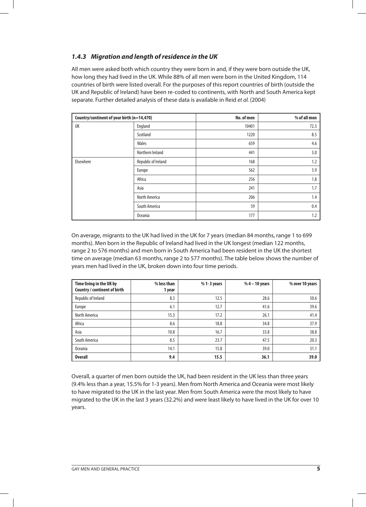## **1.4.3 Migration and length of residence in the UK**

All men were asked both which country they were born in and, if they were born outside the UK, how long they had lived in the UK. While 88% of all men were born in the United Kingdom, 114 countries of birth were listed overall. For the purposes of this report countries of birth (outside the UK and Republic of Ireland) have been re-coded to continents, with North and South America kept separate. Further detailed analysis of these data is available in Reid et al. (2004)

| Country/continent of your birth (n=14,470) |                     | No. of men | % of all men |
|--------------------------------------------|---------------------|------------|--------------|
| UK                                         | England             | 10401      | 72.3         |
|                                            | Scotland            | 1220       | 8.5          |
|                                            | Wales               | 659        | 4.6          |
|                                            | Northern Ireland    | 441        | 3.0          |
| Elsewhere                                  | Republic of Ireland | 168        | 1.2          |
|                                            | Europe              | 562        | 3.9          |
|                                            | Africa              | 256        | 1.8          |
|                                            | Asia                | 241        | 1.7          |
|                                            | North America       | 206        | 1.4          |
|                                            | South America       | 59         | 0.4          |
|                                            | <b>Oceania</b>      | 177        | 1.2          |

On average, migrants to the UK had lived in the UK for 7 years (median 84 months, range 1 to 699 months). Men born in the Republic of Ireland had lived in the UK longest (median 122 months, range 2 to 576 months) and men born in South America had been resident in the UK the shortest time on average (median 63 months, range 2 to 577 months). The table below shows the number of years men had lived in the UK, broken down into four time periods.

| Time living in the UK by<br>Country / continent of birth | % less than<br>1 year | % 1-3 years | $%4 - 10$ years | % over 10 years |
|----------------------------------------------------------|-----------------------|-------------|-----------------|-----------------|
| Republic of Ireland                                      | 8.3                   | 12.5        | 28.6            | 50.6            |
| Europe                                                   | 6.1                   | 12.7        | 41.6            | 39.6            |
| North America                                            | 15.3                  | 17.2        | 26.1            | 41.4            |
| Africa                                                   | 8.6                   | 18.8        | 34.8            | 37.9            |
| Asia                                                     | 10.8                  | 16.7        | 33.8            | 38.8            |
| South America                                            | 8.5                   | 23.7        | 47.5            | 20.3            |
| <b>Oceania</b>                                           | 14.1                  | 15.8        | 39.0            | 31.1            |
| <b>Overall</b>                                           | 9.4                   | 15.5        | 36.1            | 39.0            |

Overall, a quarter of men born outside the UK, had been resident in the UK less than three years (9.4% less than a year, 15.5% for 1-3 years). Men from North America and Oceania were most likely to have migrated to the UK in the last year. Men from South America were the most likely to have migrated to the UK in the last 3 years (32.2%) and were least likely to have lived in the UK for over 10 years.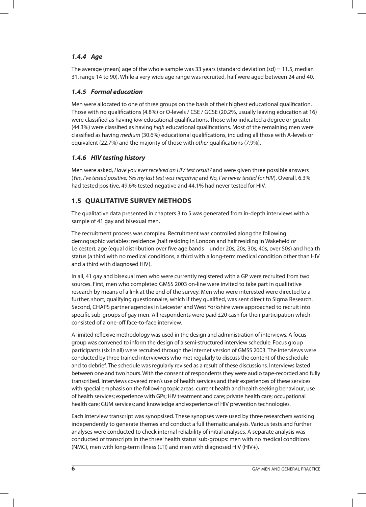## **1.4.4 Age**

The average (mean) age of the whole sample was 33 years (standard deviation  $(sd) = 11.5$ , median 31, range 14 to 90). While a very wide age range was recruited, half were aged between 24 and 40.

## **1.4.5 Formal education**

Men were allocated to one of three groups on the basis of their highest educational qualification. Those with no qualifications (4.8%) or O-levels / CSE / GCSE (20.2%, usually leaving education at 16) were classified as having low educational qualifications. Those who indicated a degree or greater (44.3%) were classified as having *high* educational qualifications. Most of the remaining men were classified as having medium (30.6%) educational qualifications, including all those with A-levels or equivalent (22.7%) and the majority of those with other qualifications (7.9%).

## **1.4.6 HIV testing history**

Men were asked, Have you ever received an HIV test result? and were given three possible answers (Yes, I've tested positive; Yes my last test was negative; and No, I've never tested for HIV). Overall, 6.3% had tested positive, 49.6% tested negative and 44.1% had never tested for HIV.

## **1.5 QUALITATIVE SURVEY METHODS**

The qualitative data presented in chapters 3 to 5 was generated from in-depth interviews with a sample of 41 gay and bisexual men.

The recruitment process was complex. Recruitment was controlled along the following demographic variables: residence (half residing in London and half residing in Wakefield or Leicester); age (equal distribution over five age bands – under 20s, 20s, 30s, 40s, over 50s) and health status (a third with no medical conditions, a third with a long-term medical condition other than HIV and a third with diagnosed HIV).

In all, 41 gay and bisexual men who were currently registered with a GP were recruited from two sources. First, men who completed GMSS 2003 on-line were invited to take part in qualitative research by means of a link at the end of the survey. Men who were interested were directed to a further, short, qualifying questionnaire, which if they qualified, was sent direct to Sigma Research. Second, CHAPS partner agencies in Leicester and West Yorkshire were approached to recruit into specific sub-groups of gay men. All respondents were paid £20 cash for their participation which consisted of a one-off face-to-face interview.

A limited reflexive methodology was used in the design and administration of interviews. A focus group was convened to inform the design of a semi-structured interview schedule. Focus group participants (six in all) were recruited through the internet version of GMSS 2003. The interviews were conducted by three trained interviewers who met regularly to discuss the content of the schedule and to debrief. The schedule was regularly revised as a result of these discussions. Interviews lasted between one and two hours. With the consent of respondents they were audio tape-recorded and fully transcribed. Interviews covered men's use of health services and their experiences of these services with special emphasis on the following topic areas: current health and health seeking behaviour; use of health services; experience with GPs; HIV treatment and care; private health care; occupational health care; GUM services; and knowledge and experience of HIV prevention technologies.

Each interview transcript was synopsised. These synopses were used by three researchers working independently to generate themes and conduct a full thematic analysis. Various tests and further analyses were conducted to check internal reliability of initial analyses. A separate analysis was conducted of transcripts in the three 'health status' sub-groups: men with no medical conditions (NMC), men with long-term illness (LTI) and men with diagnosed HIV (HIV+).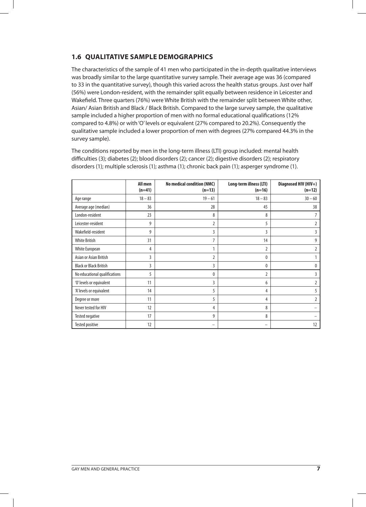## **1.6 QUALITATIVE SAMPLE DEMOGRAPHICS**

The characteristics of the sample of 41 men who participated in the in-depth qualitative interviews was broadly similar to the large quantitative survey sample. Their average age was 36 (compared to 33 in the quantitative survey), though this varied across the health status groups. Just over half (56%) were London-resident, with the remainder split equally between residence in Leicester and Wakefield. Three quarters (76%) were White British with the remainder split between White other, Asian/ Asian British and Black / Black British. Compared to the large survey sample, the qualitative sample included a higher proportion of men with no formal educational qualifications (12% compared to 4.8%) or with 'O' levels or equivalent (27% compared to 20.2%). Consequently the qualitative sample included a lower proportion of men with degrees (27% compared 44.3% in the survey sample).

The conditions reported by men in the long-term illness (LTI) group included: mental health difficulties (3); diabetes (2); blood disorders (2); cancer (2); digestive disorders (2); respiratory disorders (1); multiple sclerosis (1); asthma (1); chronic back pain (1); asperger syndrome (1).

|                               | All men<br>$(n=41)$ | No medical condition (NMC)<br>$(n=13)$ | Long-term illness (LTI)<br>$(n=16)$ | Diagnosed HIV (HIV+)<br>$(n=12)$ |
|-------------------------------|---------------------|----------------------------------------|-------------------------------------|----------------------------------|
| Age range                     | $18 - 83$           | $19 - 61$                              | $18 - 83$                           | $30 - 60$                        |
| Average age (median)          | 36                  | 28                                     | 45                                  | 38                               |
| London-resident               | 23                  | 8                                      | 8                                   | 7                                |
| Leicester-resident            | 9                   | 2                                      | 5                                   | $\overline{2}$                   |
| Wakefield-resident            | 9                   | 3                                      | 3                                   | 3                                |
| White British                 | 31                  | 7                                      | 14                                  | 9                                |
| White European                | 4                   | 1                                      | $\overline{2}$                      | 2                                |
| Asian or Asian British        | 3                   | 2                                      | 0                                   |                                  |
| <b>Black or Black British</b> | 3                   | 3                                      | 0                                   | $\mathbf 0$                      |
| No educational qualifications | 5                   | $\mathbf{0}$                           | $\overline{2}$                      | 3                                |
| 'O' levels or equivalent      | 11                  | 3                                      | 6                                   | $\overline{2}$                   |
| 'A' levels or equivalent      | 14                  | 5                                      | 4                                   | 5                                |
| Degree or more                | 11                  | 5                                      | 4                                   | 2                                |
| Never tested for HIV          | 12                  | 4                                      | 8                                   |                                  |
| Tested negative               | 17                  | 9                                      | 8                                   |                                  |
| Tested positive               | 12                  |                                        | -                                   | 12                               |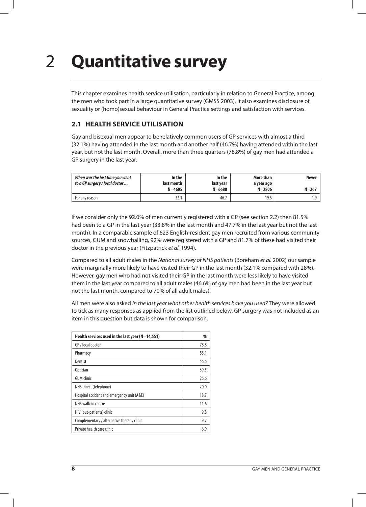## **Quantitative survey** 2

This chapter examines health service utilisation, particularly in relation to General Practice, among the men who took part in a large quantitative survey (GMSS 2003). It also examines disclosure of sexuality or (homo)sexual behaviour in General Practice settings and satisfaction with services.

## **2.1 HEALTH SERVICE UTILISATION**

Gay and bisexual men appear to be relatively common users of GP services with almost a third (32.1%) having attended in the last month and another half (46.7%) having attended within the last year, but not the last month. Overall, more than three quarters (78.8%) of gay men had attended a GP surgery in the last year.

| When was the last time you went<br>to a GP surgery / local doctor | In the<br>last month<br>$N = 4605$ | In the<br>last vear<br>$N = 6688$ | More than<br>a year ago<br>$N = 2806$ | Never<br>$N = 267$ |
|-------------------------------------------------------------------|------------------------------------|-----------------------------------|---------------------------------------|--------------------|
| For any reason                                                    | 32.1                               | 46.7                              | 19.5                                  | ΙQ                 |

If we consider only the 92.0% of men currently registered with a GP (see section 2.2) then 81.5% had been to a GP in the last year (33.8% in the last month and 47.7% in the last year but not the last month). In a comparable sample of 623 English-resident gay men recruited from various community sources, GUM and snowballing, 92% were registered with a GP and 81.7% of these had visited their doctor in the previous year (Fitzpatrick et al. 1994).

Compared to all adult males in the National survey of NHS patients (Boreham et al. 2002) our sample were marginally more likely to have visited their GP in the last month (32.1% compared with 28%). However, gay men who had not visited their GP in the last month were less likely to have visited them in the last year compared to all adult males (46.6% of gay men had been in the last year but not the last month, compared to 70% of all adult males).

All men were also asked In the last year what other health services have you used? They were allowed to tick as many responses as applied from the list outlined below. GP surgery was not included as an item in this question but data is shown for comparison.

| Health services used in the last year ( $N=14,551$ ) | $\%$ |
|------------------------------------------------------|------|
| GP / local doctor                                    | 78.8 |
| Pharmacy                                             | 58.1 |
| Dentist                                              | 56.6 |
| <b>Optician</b>                                      | 39.5 |
| <b>GUM</b> clinic                                    | 26.6 |
| NHS Direct (telephone)                               | 20.0 |
| Hospital accident and emergency unit (A&E)           | 18.7 |
| NHS walk-in centre                                   | 11.6 |
| HIV (out-patients) clinic                            | 9.8  |
| Complementary / alternative therapy clinic           | 9.7  |
| Private health care clinic                           | 6.9  |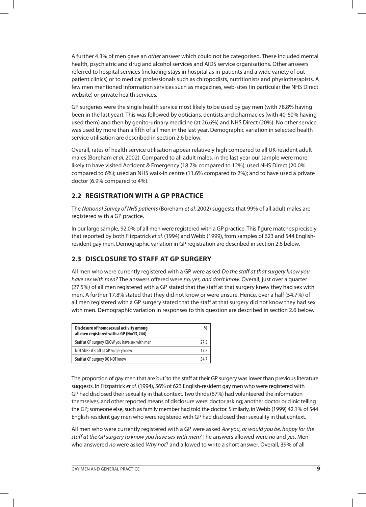A further 4.3% of men gave an other answer which could not be categorised. These included mental health, psychiatric and drug and alcohol services and AIDS service organisations. Other answers referred to hospital services (including stays in hospital as in-patients and a wide variety of outpatient clinics) or to medical professionals such as chiropodists, nutritionists and physiotherapists. A few men mentioned information services such as magazines, web-sites (in particular the NHS Direct website) or private health services.

GP surgeries were the single health service most likely to be used by gay men (with 78.8% having been in the last year). This was followed by opticians, dentists and pharmacies (with 40-60% having used them) and then by genito-urinary medicine (at 26.6%) and NHS Direct (20%). No other service was used by more than a fifth of all men in the last year. Demographic variation in selected health service utilisation are described in section 2.6 below.

Overall, rates of health service utilisation appear relatively high compared to all UK-resident adult males (Boreham et al. 2002). Compared to all adult males, in the last year our sample were more likely to have visited Accident & Emergency (18.7% compared to 12%); used NHS Direct (20.0% compared to 6%); used an NHS walk-in centre (11.6% compared to 2%); and to have used a private doctor (6.9% compared to 4%).

## **2.2 REGISTRATION WITH A GP PRACTICE**

The National Survey of NHS patients (Boreham et al. 2002) suggests that 99% of all adult males are registered with a GP practice.

In our large sample, 92.0% of all men were registered with a GP practice. This figure matches precisely that reported by both Fitzpatrick et al. (1994) and Webb (1999), from samples of 623 and 544 Englishresident gay men. Demographic variation in GP registration are described in section 2.6 below.

## **2.3 DISCLOSURE TO STAFF AT GP SURGERY**

All men who were currently registered with a GP were asked Do the staff at that surgery know you have sex with men? The answers offered were no, yes, and don't know. Overall, just over a quarter (27.5%) of all men registered with a GP stated that the staff at that surgery knew they had sex with men. A further 17.8% stated that they did not know or were unsure. Hence, over a half (54.7%) of all men registered with a GP surgery stated that the staff at that surgery did not know they had sex with men. Demographic variation in responses to this question are described in section 2.6 below.

| Disclosure of homosexual activity among<br>all men registered with a GP (N=13,244) | %    |
|------------------------------------------------------------------------------------|------|
| Staff at GP surgery KNOW you have sex with men                                     | 27.5 |
| NOT SURE if staff at GP surgery know                                               | 17.8 |
| Staff at GP surgery DO NOT know                                                    | 54 7 |

The proportion of gay men that are 'out' to the staff at their GP surgery was lower than previous literature suggests. In Fitzpatrick et al. (1994), 56% of 623 English-resident gay men who were registered with GP had disclosed their sexuality in that context. Two thirds (67%) had volunteered the information themselves, and other reported means of disclosure were: doctor asking; another doctor or clinic telling the GP; someone else, such as family member had told the doctor. Similarly, in Webb (1999) 42.1% of 544 English-resident gay men who were registered with GP had disclosed their sexuality in that context.

All men who were currently registered with a GP were asked Are you, or would you be, happy for the staff at the GP surgery to know you have sex with men? The answers allowed were no and yes. Men who answered no were asked Why not? and allowed to write a short answer. Overall, 39% of all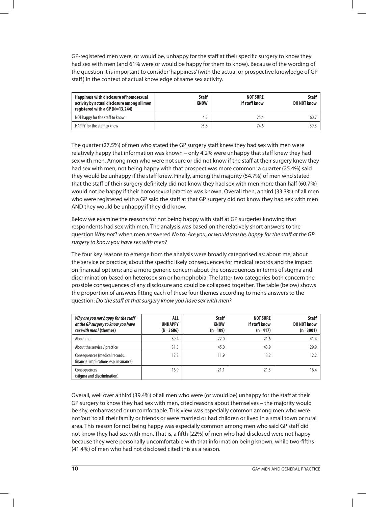GP-registered men were, or would be, unhappy for the staff at their specific surgery to know they had sex with men (and 61% were or would be happy for them to know). Because of the wording of the question it is important to consider 'happiness' (with the actual or prospective knowledge of GP staff) in the context of actual knowledge of same sex activity.

| Happiness with disclosure of homosexual<br>activity by actual disclosure among all men<br>registered with a GP (N=13,244) | <b>Staff</b><br><b>KNOW</b> | <b>NOT SURE</b><br>if staff know | <b>Staff</b><br>DO NOT know |
|---------------------------------------------------------------------------------------------------------------------------|-----------------------------|----------------------------------|-----------------------------|
| NOT happy for the staff to know                                                                                           | 4.2                         | 25.4                             | 60.7                        |
| HAPPY for the staff to know                                                                                               | 95.8                        | 74.6                             | 39.3                        |

The quarter (27.5%) of men who stated the GP surgery staff knew they had sex with men were relatively happy that information was known – only 4.2% were unhappy that staff knew they had sex with men. Among men who were not sure or did not know if the staff at their surgery knew they had sex with men, not being happy with that prospect was more common: a quarter (25.4%) said they would be unhappy if the staff knew. Finally, among the majority (54.7%) of men who stated that the staff of their surgery definitely did not know they had sex with men more than half (60.7%) would not be happy if their homosexual practice was known. Overall then, a third (33.3%) of all men who were registered with a GP said the staff at that GP surgery did not know they had sex with men AND they would be unhappy if they did know.

Below we examine the reasons for not being happy with staff at GP surgeries knowing that respondents had sex with men. The analysis was based on the relatively short answers to the question Why not? when men answered No to: Are you, or would you be, happy for the staff at the GP surgery to know you have sex with men?

The four key reasons to emerge from the analysis were broadly categorised as: about me; about the service or practice; about the specific likely consequences for medical records and the impact on financial options; and a more generic concern about the consequences in terms of stigma and discrimination based on heterosexism or homophobia. The latter two categories both concern the possible consequences of any disclosure and could be collapsed together. The table (below) shows the proportion of answers fitting each of these four themes according to men's answers to the question: Do the staff at that surgery know you have sex with men?

| Why are you not happy for the staff<br>at the GP surgery to know you have<br>sex with men? (themes) | ALL<br><b>UNHAPPY</b><br>$(N=3686)$ | <b>Staff</b><br><b>KNOW</b><br>$(n=109)$ | <b>NOT SURE</b><br>if staff know<br>$(n=417)$ | <b>Staff</b><br>DO NOT know<br>$(n=3001)$ |
|-----------------------------------------------------------------------------------------------------|-------------------------------------|------------------------------------------|-----------------------------------------------|-------------------------------------------|
| About me                                                                                            | 39.4                                | 22.0                                     | 21.6                                          | 41.4                                      |
| About the service / practice                                                                        | 31.5                                | 45.0                                     | 43.9                                          | 29.9                                      |
| Consequences (medical records,<br>financial implications esp. insurance)                            | 12.2                                | 11.9                                     | 13.2                                          | 12.2                                      |
| Consequences<br>(stigma and discrimination)                                                         | 16.9                                | 21.1                                     | 21.3                                          | 16.4                                      |

Overall, well over a third (39.4%) of all men who were (or would be) unhappy for the staff at their GP surgery to know they had sex with men, cited reasons about themselves – the majority would be shy, embarrassed or uncomfortable. This view was especially common among men who were not 'out' to all their family or friends or were married or had children or lived in a small town or rural area. This reason for not being happy was especially common among men who said GP staff did not know they had sex with men. That is, a fifth (22%) of men who had disclosed were not happy because they were personally uncomfortable with that information being known, while two-fifths (41.4%) of men who had not disclosed cited this as a reason.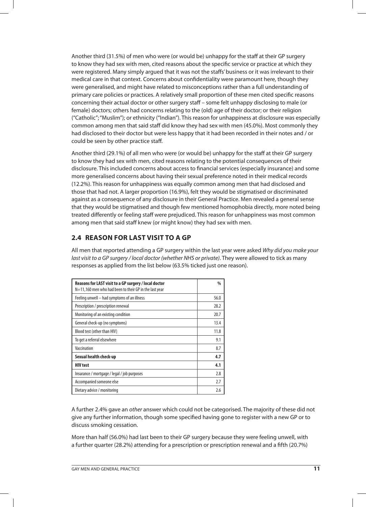Another third (31.5%) of men who were (or would be) unhappy for the staff at their GP surgery to know they had sex with men, cited reasons about the specific service or practice at which they were registered. Many simply argued that it was not the staffs' business or it was irrelevant to their medical care in that context. Concerns about confidentiality were paramount here, though they were generalised, and might have related to misconceptions rather than a full understanding of primary care policies or practices. A relatively small proportion of these men cited specific reasons concerning their actual doctor or other surgery staff – some felt unhappy disclosing to male (or female) doctors; others had concerns relating to the (old) age of their doctor; or their religion ("Catholic"; "Muslim"); or ethnicity ("Indian"). This reason for unhappiness at disclosure was especially common among men that said staff did know they had sex with men (45.0%). Most commonly they had disclosed to their doctor but were less happy that it had been recorded in their notes and / or could be seen by other practice staff.

Another third (29.1%) of all men who were (or would be) unhappy for the staff at their GP surgery to know they had sex with men, cited reasons relating to the potential consequences of their disclosure. This included concerns about access to financial services (especially insurance) and some more generalised concerns about having their sexual preference noted in their medical records (12.2%). This reason for unhappiness was equally common among men that had disclosed and those that had not. A larger proportion (16.9%), felt they would be stigmatised or discriminated against as a consequence of any disclosure in their General Practice. Men revealed a general sense that they would be stigmatised and though few mentioned homophobia directly, more noted being treated differently or feeling staff were prejudiced. This reason for unhappiness was most common among men that said staff knew (or might know) they had sex with men.

## **2.4 REASON FOR LAST VISIT TO A GP**

All men that reported attending a GP surgery within the last year were asked Why did you make your last visit to a GP surgery / local doctor (whether NHS or private). They were allowed to tick as many responses as applied from the list below (63.5% ticked just one reason).

| Reasons for LAST visit to a GP surgery / local doctor<br>N=11,160 men who had been to their GP in the last year | %    |
|-----------------------------------------------------------------------------------------------------------------|------|
| Feeling unwell – had symptoms of an illness                                                                     | 56.0 |
| Prescription / prescription renewal                                                                             | 28.2 |
| Monitoring of an existing condition                                                                             | 20.7 |
| General check-up (no symptoms)                                                                                  | 13.4 |
| Blood test (other than HIV)                                                                                     | 11.8 |
| To get a referral elsewhere                                                                                     | 9.1  |
| Vaccination                                                                                                     | 8.7  |
| Sexual health check-up                                                                                          | 4.7  |
| <b>HIV test</b>                                                                                                 | 4.1  |
| Insurance / mortgage / legal / job purposes                                                                     | 2.8  |
| Accompanied someone else                                                                                        | 2.7  |
| Dietary advice / monitoring                                                                                     | 2.6  |

A further 2.4% gave an other answer which could not be categorised. The majority of these did not give any further information, though some specified having gone to register with a new GP or to discuss smoking cessation.

More than half (56.0%) had last been to their GP surgery because they were feeling unwell, with a further quarter (28.2%) attending for a prescription or prescription renewal and a fifth (20.7%)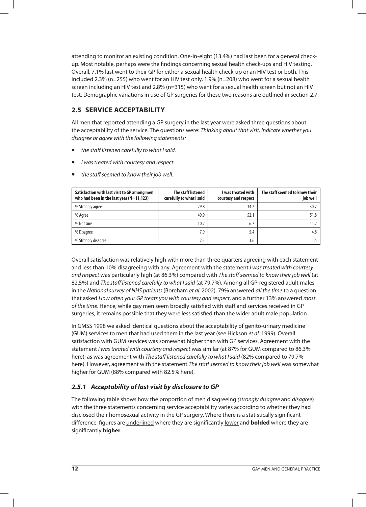attending to monitor an existing condition. One-in-eight (13.4%) had last been for a general checkup. Most notable, perhaps were the findings concerning sexual health check-ups and HIV testing. Overall, 7.1% last went to their GP for either a sexual health check-up or an HIV test or both. This included 2.3% (n=255) who went for an HIV test only, 1.9% (n=208) who went for a sexual health screen including an HIV test and 2.8% (n=315) who went for a sexual health screen but not an HIV test. Demographic variations in use of GP surgeries for these two reasons are outlined in section 2.7.

## **2.5 SERVICE ACCEPTABILITY**

All men that reported attending a GP surgery in the last year were asked three questions about the acceptability of the service. The questions were: Thinking about that visit, indicate whether you disagree or agree with the following statements:

- the staff listened carefully to what I said.
- I was treated with courtesy and respect.
- the staff seemed to know their job well.

| Satisfaction with last visit to GP among men<br>who had been in the last year $(N=11, 123)$ | The staff listened<br>carefully to what I said | I was treated with<br>courtesy and respect | The staff seemed to know their<br>job well |
|---------------------------------------------------------------------------------------------|------------------------------------------------|--------------------------------------------|--------------------------------------------|
| % Strongly agree                                                                            | 29.8                                           | 34.2                                       | 30.7                                       |
| % Agree                                                                                     | 49.9                                           | 52.1                                       | 51.8                                       |
| % Not sure                                                                                  | 10.2                                           | 6.7                                        | 11.2                                       |
| % Disagree                                                                                  | 7.9                                            | 5.4                                        | 4.8                                        |
| % Strongly disagree                                                                         | 2.3                                            | 1.6                                        |                                            |

Overall satisfaction was relatively high with more than three quarters agreeing with each statement and less than 10% disagreeing with any. Agreement with the statement I was treated with courtesy and respect was particularly high (at 86.3%) compared with The staff seemed to know their job well (at 82.5%) and The staff listened carefully to what I said (at 79.7%). Among all GP-registered adult males in the National survey of NHS patients (Boreham et al. 2002), 79% answered all the time to a question that asked How often your GP treats you with courtesy and respect, and a further 13% answered most of the time. Hence, while gay men seem broadly satisfied with staff and services received in GP surgeries, it remains possible that they were less satisfied than the wider adult male population.

In GMSS 1998 we asked identical questions about the acceptability of genito-urinary medicine (GUM) services to men that had used them in the last year (see Hickson et al. 1999). Overall satisfaction with GUM services was somewhat higher than with GP services. Agreement with the statement I was treated with courtesy and respect was similar (at 87% for GUM compared to 86.3% here); as was agreement with The staff listened carefully to what I said (82% compared to 79.7% here). However, agreement with the statement The staff seemed to know their job well was somewhat higher for GUM (88% compared with 82.5% here).

## **2.5.1 Acceptability of last visit by disclosure to GP**

The following table shows how the proportion of men disagreeing (strongly disagree and disagree) with the three statements concerning service acceptability varies according to whether they had disclosed their homosexual activity in the GP surgery. Where there is a statistically significant difference, figures are underlined where they are significantly lower and **bolded** where they are significantly **higher**.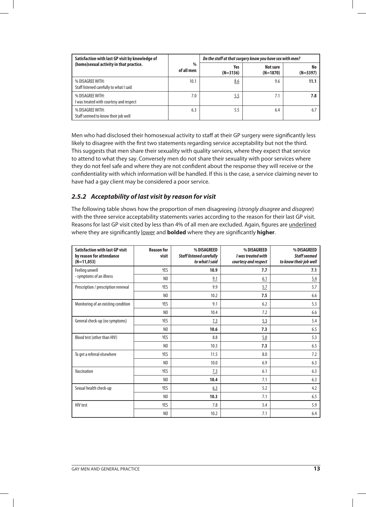| Satisfaction with last GP visit by knowledge of             |                             | Do the staff at that surgery know you have sex with men? |                        |                  |
|-------------------------------------------------------------|-----------------------------|----------------------------------------------------------|------------------------|------------------|
| (homo) sexual activity in that practice.                    | $\frac{0}{0}$<br>of all men | Yes<br>$(N=3136)$                                        | Not sure<br>$(N=1870)$ | No<br>$(N=5397)$ |
| % DISAGREE WITH:<br>Staff listened carefully to what I said | 10.1                        | 8.6                                                      | 9.6                    | 11.1             |
| % DISAGREE WITH:<br>I was treated with courtesy and respect | 7.0                         | <u>5.5</u>                                               | 7.1                    | 7.8              |
| % DISAGREE WITH:<br>Staff seemed to know their job well     | 6.3                         | 5.5                                                      | 6.4                    | 6.7              |

Men who had disclosed their homosexual activity to staff at their GP surgery were significantly less likely to disagree with the first two statements regarding service acceptability but not the third. This suggests that men share their sexuality with quality services, where they expect that service to attend to what they say. Conversely men do not share their sexuality with poor services where they do not feel safe and where they are not confident about the response they will receive or the confidentiality with which information will be handled. If this is the case, a service claiming never to have had a gay client may be considered a poor service.

## **2.5.2 Acceptability of last visit by reason for visit**

The following table shows how the proportion of men disagreeing (strongly disagree and disagree) with the three service acceptability statements varies according to the reason for their last GP visit. Reasons for last GP visit cited by less than 4% of all men are excluded. Again, figures are underlined where they are significantly lower and **bolded** where they are significantly **higher**.

| <b>Satisfaction with last GP visit</b><br>by reason for attendance<br>$(N=11,053)$ | <b>Reason for</b><br>visit | % DISAGREED<br><b>Staff listened carefully</b><br>to what I said | % DISAGREED<br>I was treated with<br>courtesy and respect | % DISAGREED<br><b>Staff seemed</b><br>to know their job well |
|------------------------------------------------------------------------------------|----------------------------|------------------------------------------------------------------|-----------------------------------------------------------|--------------------------------------------------------------|
| Feeling unwell                                                                     | YES                        | 10.9                                                             | 7.7                                                       | 7.1                                                          |
| - symptoms of an illness                                                           | N <sub>0</sub>             | 9.1                                                              | 6.1                                                       | 5.4                                                          |
| Prescription / prescription renewal                                                | YES                        | 9.9                                                              | 5.7                                                       | 5.7                                                          |
|                                                                                    | N <sub>0</sub>             | 10.2                                                             | 7.5                                                       | 6.6                                                          |
| Monitoring of an existing condition                                                | <b>YES</b>                 | 9.1                                                              | 6.2                                                       | 5.3                                                          |
|                                                                                    | N <sub>0</sub>             | 10.4                                                             | 7.2                                                       | 6.6                                                          |
| General check-up (no symptoms)                                                     | YES                        | 7.3                                                              | 5.3                                                       | 5.4                                                          |
|                                                                                    | N <sub>0</sub>             | 10.6                                                             | 7.3                                                       | 6.5                                                          |
| Blood test (other than HIV)                                                        | YES                        | 8.8                                                              | 5.0                                                       | 5.3                                                          |
|                                                                                    | N <sub>0</sub>             | 10.3                                                             | 7.3                                                       | 6.5                                                          |
| To get a referral elsewhere                                                        | <b>YES</b>                 | 11.5                                                             | 8.0                                                       | 7.2                                                          |
|                                                                                    | NO                         | 10.0                                                             | 6.9                                                       | 6.3                                                          |
| Vaccination                                                                        | YES                        | 7.3                                                              | 6.1                                                       | 6.3                                                          |
|                                                                                    | N <sub>0</sub>             | 10.4                                                             | 7.1                                                       | 6.3                                                          |
| Sexual health check-up                                                             | YES                        | 6.3                                                              | 5.2                                                       | 4.2                                                          |
|                                                                                    | N <sub>0</sub>             | 10.3                                                             | 7.1                                                       | 6.5                                                          |
| <b>HIV</b> test                                                                    | <b>YES</b>                 | 7.8                                                              | 5.4                                                       | 5.9                                                          |
|                                                                                    | N <sub>0</sub>             | 10.2                                                             | 7.1                                                       | 6.4                                                          |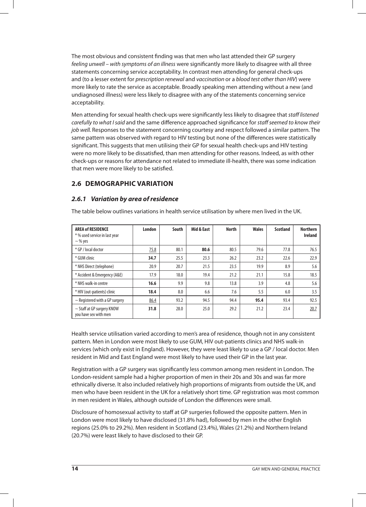The most obvious and consistent finding was that men who last attended their GP surgery feeling unwell – with symptoms of an illness were significantly more likely to disagree with all three statements concerning service acceptability. In contrast men attending for general check-ups and (to a lesser extent for prescription renewal and vaccination or a blood test other than HIV) were more likely to rate the service as acceptable. Broadly speaking men attending without a new (and undiagnosed illness) were less likely to disagree with any of the statements concerning service acceptability.

Men attending for sexual health check-ups were significantly less likely to disagree that staff listened carefully to what I said and the same difference approached significance for staff seemed to know their job well. Responses to the statement concerning courtesy and respect followed a similar pattern. The same pattern was observed with regard to HIV testing but none of the differences were statistically significant. This suggests that men utilising their GP for sexual health check-ups and HIV testing were no more likely to be dissatisfied, than men attending for other reasons. Indeed, as with other check-ups or reasons for attendance not related to immediate ill-health, there was some indication that men were more likely to be satisfied.

## **2.6 DEMOGRAPHIC VARIATION**

### **2.6.1 Variation by area of residence**

| <b>AREA of RESIDENCE</b><br>* % used service in last year<br>$\sim$ % yes | London | South | Mid & East | <b>North</b> | <b>Wales</b> | <b>Scotland</b> | <b>Northern</b><br><b>Ireland</b> |
|---------------------------------------------------------------------------|--------|-------|------------|--------------|--------------|-----------------|-----------------------------------|
| * GP / local doctor                                                       | 75.8   | 80.1  | 80.6       | 80.5         | 79.6         | 77.8            | 76.5                              |
| * GUM clinic                                                              | 34.7   | 25.5  | 23.3       | 26.2         | 23.2         | 22.6            | 22.9                              |
| * NHS Direct (telephone)                                                  | 20.9   | 20.7  | 21.5       | 23.5         | 19.9         | 8.9             | 5.6                               |
| * Accident & Emergency (A&E)                                              | 17.9   | 18.0  | 19.4       | 21.2         | 21.1         | 15.8            | 18.5                              |
| * NHS walk-in centre                                                      | 16.6   | 9.9   | 9.8        | 13.8         | 3.9          | 4.8             | 5.6                               |
| * HIV (out-patients) clinic                                               | 18.4   | 8.0   | 6.6        | 7.6          | 5.5          | 6.0             | 3.5                               |
| $\sim$ Registered with a GP surgery                                       | 86.4   | 93.2  | 94.5       | 94.4         | 95.4         | 93.4            | 92.5                              |
| $\sim$ Staff at GP surgery KNOW<br>you have sex with men                  | 31.8   | 28.0  | 25.0       | 29.2         | 21.2         | 23.4            | 20.7                              |

The table below outlines variations in health service utilisation by where men lived in the UK.

Health service utilisation varied according to men's area of residence, though not in any consistent pattern. Men in London were most likely to use GUM, HIV out-patients clinics and NHS walk-in services (which only exist in England). However, they were least likely to use a GP / local doctor. Men resident in Mid and East England were most likely to have used their GP in the last year.

Registration with a GP surgery was significantly less common among men resident in London. The London-resident sample had a higher proportion of men in their 20s and 30s and was far more ethnically diverse. It also included relatively high proportions of migrants from outside the UK, and men who have been resident in the UK for a relatively short time. GP registration was most common in men resident in Wales, although outside of London the differences were small.

Disclosure of homosexual activity to staff at GP surgeries followed the opposite pattern. Men in London were most likely to have disclosed (31.8% had), followed by men in the other English regions (25.0% to 29.2%). Men resident in Scotland (23.4%), Wales (21.2%) and Northern Ireland (20.7%) were least likely to have disclosed to their GP.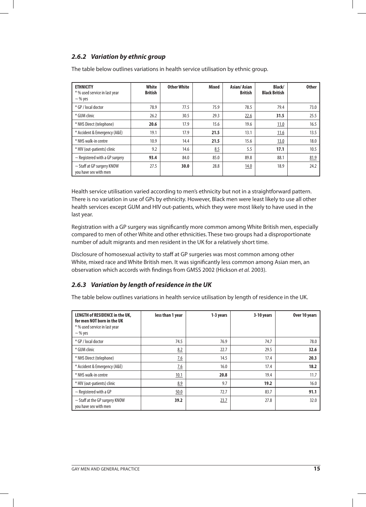## **2.6.2 Variation by ethnic group**

The table below outlines variations in health service utilisation by ethnic group.

| <b>ETHNICITY</b><br>* % used service in last year<br>$\sim$ % yes | White<br><b>British</b> | <b>Other White</b> | <b>Mixed</b> | Asian/Asian<br><b>British</b> | Black/<br><b>Black British</b> | <b>Other</b> |
|-------------------------------------------------------------------|-------------------------|--------------------|--------------|-------------------------------|--------------------------------|--------------|
| * GP / local doctor                                               | 78.9                    | 77.5               | 75.9         | 78.5                          | 79.4                           | 73.0         |
| * GUM clinic                                                      | 26.2                    | 30.5               | 29.3         | 22.6                          | 31.5                           | 25.5         |
| * NHS Direct (telephone)                                          | 20.6                    | 17.9               | 15.6         | 19.6                          | 11.0                           | 16.5         |
| * Accident & Emergency (A&E)                                      | 19.1                    | 17.9               | 21.5         | 13.1                          | 11.6                           | 13.5         |
| * NHS walk-in centre                                              | 10.9                    | 14.4               | 21.5         | 15.6                          | 13.0                           | 18.0         |
| * HIV (out-patients) clinic                                       | 9.2                     | 14.6               | 8.5          | 5.5                           | 17.1                           | 10.5         |
| $\sim$ Registered with a GP surgery                               | 93.4                    | 84.0               | 85.0         | 89.8                          | 88.1                           | 81.9         |
| $\sim$ Staff at GP surgery KNOW<br>vou have sex with men          | 27.5                    | 30.0               | 28.8         | 14.0                          | 18.9                           | 24.2         |

Health service utilisation varied according to men's ethnicity but not in a straightforward pattern. There is no variation in use of GPs by ethnicity. However, Black men were least likely to use all other health services except GUM and HIV out-patients, which they were most likely to have used in the last year.

Registration with a GP surgery was significantly more common among White British men, especially compared to men of other White and other ethnicities. These two groups had a disproportionate number of adult migrants and men resident in the UK for a relatively short time.

Disclosure of homosexual activity to staff at GP surgeries was most common among other White, mixed race and White British men. It was significantly less common among Asian men, an observation which accords with findings from GMSS 2002 (Hickson et al. 2003).

### **2.6.3 Variation by length of residence in the UK**

The table below outlines variations in health service utilisation by length of residence in the UK.

| LENGTH of RESIDENCE in the UK,<br>for men NOT born in the UK<br>* % used service in last year<br>$\sim$ % yes | less than 1 year | 1-3 years | 3-10 years | Over 10 years |
|---------------------------------------------------------------------------------------------------------------|------------------|-----------|------------|---------------|
| * GP / local doctor                                                                                           | 74.5             | 76.9      | 74.7       | 78.0          |
| * GUM clinic                                                                                                  | 8.2              | 22.7      | 29.5       | 32.6          |
| * NHS Direct (telephone)                                                                                      | 7.6              | 14.5      | 17.4       | 20.3          |
| * Accident & Emergency (A&E)                                                                                  | 7.6              | 16.0      | 17.4       | 18.2          |
| * NHS walk-in centre                                                                                          | 10.1             | 20.8      | 19.4       | 11.7          |
| * HIV (out-patients) clinic                                                                                   | 8.9              | 9.7       | 19.2       | 16.0          |
| $\sim$ Registered with a GP                                                                                   | 50.0             | 72.7      | 83.7       | 91.1          |
| $\sim$ Staff at the GP surgery KNOW<br>you have sex with men                                                  | 39.2             | 23.7      | 27.8       | 32.0          |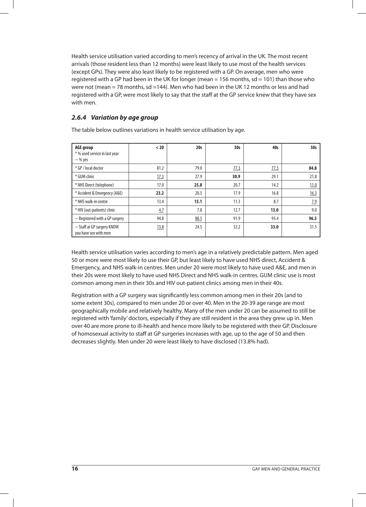Health service utilisation varied according to men's recency of arrival in the UK. The most recent arrivals (those resident less than 12 months) were least likely to use most of the health services (except GPs). They were also least likely to be registered with a GP. On average, men who were registered with a GP had been in the UK for longer (mean = 156 months,  $sd = 101$ ) than those who were not (mean = 78 months, sd =144). Men who had been in the UK 12 months or less and had registered with a GP, were most likely to say that the staff at the GP service knew that they have sex with men.

## **2.6.4 Variation by age group**

The table below outlines variations in health service utilisation by age.

| <b>AGE group</b><br>* % used service in last year<br>$\sim$ % yes | $20$ | 20s  | 30 <sub>s</sub> | 40s  | 50s  |
|-------------------------------------------------------------------|------|------|-----------------|------|------|
| * GP / local doctor                                               | 81.2 | 79.0 | 77.3            | 77.3 | 84.8 |
| * GUM clinic                                                      | 17.3 | 27.9 | 30.9            | 29.1 | 21.8 |
| * NHS Direct (telephone)                                          | 17.0 | 25.8 | 20.7            | 14.2 | 11.0 |
| * Accident & Emergency (A&E)                                      | 23.2 | 20.5 | 17.9            | 16.8 | 16.3 |
| * NHS walk-in centre                                              | 13.4 | 15.1 | 11.3            | 8.7  | 7.9  |
| * HIV (out-patients) clinic                                       | 4.7  | 7.8  | 12.7            | 13.0 | 9.0  |
| $\sim$ Registered with a GP surgery                               | 94.8 | 88.5 | 91.9            | 95.4 | 96.5 |
| $\sim$ Staff at GP surgery KNOW<br>you have sex with men          | 13.8 | 24.5 | 32.2            | 33.0 | 31.5 |

Health service utilisation varies according to men's age in a relatively predictable pattern. Men aged 50 or more were most likely to use their GP, but least likely to have used NHS direct, Accident & Emergency, and NHS walk-in centres. Men under 20 were most likely to have used A&E, and men in their 20s were most likely to have used NHS Direct and NHS walk-in centres. GUM clinic use is most common among men in their 30s and HIV out-patient clinics among men in their 40s.

Registration with a GP surgery was significantly less common among men in their 20s (and to some extent 30s), compared to men under 20 or over 40. Men in the 20-39 age range are most geographically mobile and relatively healthy. Many of the men under 20 can be assumed to still be registered with 'family' doctors, especially if they are still resident in the area they grew up in. Men over 40 are more prone to ill-health and hence more likely to be registered with their GP. Disclosure of homosexual activity to staff at GP surgeries increases with age, up to the age of 50 and then decreases slightly. Men under 20 were least likely to have disclosed (13.8% had).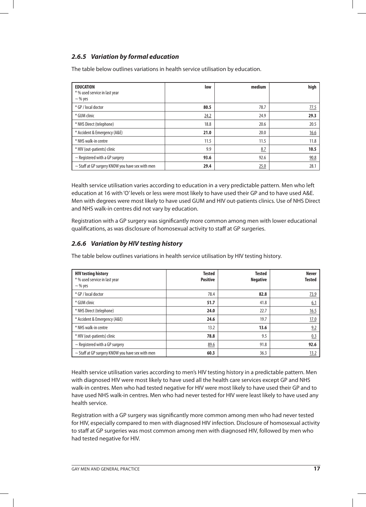## **2.6.5 Variation by formal education**

The table below outlines variations in health service utilisation by education.

| <b>EDUCATION</b><br>* % used service in last year<br>$\sim$ % yes | low  | medium | high |
|-------------------------------------------------------------------|------|--------|------|
| * GP / local doctor                                               | 80.5 | 78.7   | 77.5 |
| * GUM clinic                                                      | 24.2 | 24.9   | 29.3 |
| * NHS Direct (telephone)                                          | 18.8 | 20.6   | 20.5 |
| * Accident & Emergency (A&E)                                      | 21.0 | 20.0   | 16.6 |
| * NHS walk-in centre                                              | 11.5 | 11.5   | 11.8 |
| * HIV (out-patients) clinic                                       | 9.9  | 8.7    | 10.5 |
| $\sim$ Registered with a GP surgery                               | 93.6 | 92.6   | 90.8 |
| $\sim$ Staff at GP surgery KNOW you have sex with men             | 29.4 | 25.0   | 28.1 |

Health service utilisation varies according to education in a very predictable pattern. Men who left education at 16 with 'O' levels or less were most likely to have used their GP and to have used A&E. Men with degrees were most likely to have used GUM and HIV out-patients clinics. Use of NHS Direct and NHS walk-in centres did not vary by education.

Registration with a GP surgery was significantly more common among men with lower educational qualifications, as was disclosure of homosexual activity to staff at GP surgeries.

## **2.6.6 Variation by HIV testing history**

The table below outlines variations in health service utilisation by HIV testing history.

| <b>HIV testing history</b><br>* % used service in last year<br>$\sim$ % yes | <b>Tested</b><br><b>Positive</b> | <b>Tested</b><br><b>Negative</b> | <b>Never</b><br><b>Tested</b> |
|-----------------------------------------------------------------------------|----------------------------------|----------------------------------|-------------------------------|
| * GP / local doctor                                                         | 78.4                             | 82.8                             | 73.9                          |
| * GUM clinic                                                                | 51.7                             | 41.8                             | 6.1                           |
| * NHS Direct (telephone)                                                    | 24.0                             | 22.7                             | 16.5                          |
| * Accident & Emergency (A&E)                                                | 24.6                             | 19.7                             | 17.0                          |
| * NHS walk-in centre                                                        | 13.2                             | 13.6                             | 9.2                           |
| * HIV (out-patients) clinic                                                 | 78.8                             | 9.5                              | 0.3                           |
| $\sim$ Registered with a GP surgery                                         | 89.6                             | 91.8                             | 92.6                          |
| $\sim$ Staff at GP surgery KNOW you have sex with men                       | 60.3                             | 36.3                             | 13.2                          |

Health service utilisation varies according to men's HIV testing history in a predictable pattern. Men with diagnosed HIV were most likely to have used all the health care services except GP and NHS walk-in centres. Men who had tested negative for HIV were most likely to have used their GP and to have used NHS walk-in centres. Men who had never tested for HIV were least likely to have used any health service.

Registration with a GP surgery was significantly more common among men who had never tested for HIV, especially compared to men with diagnosed HIV infection. Disclosure of homosexual activity to staff at GP surgeries was most common among men with diagnosed HIV, followed by men who had tested negative for HIV.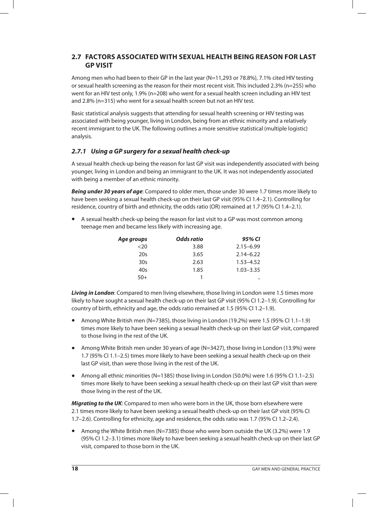## **2.7 FACTORS ASSOCIATED WITH SEXUAL HEALTH BEING REASON FOR LAST GP VISIT**

Among men who had been to their GP in the last year (N=11,293 or 78.8%), 7.1% cited HIV testing or sexual health screening as the reason for their most recent visit. This included 2.3% (n=255) who went for an HIV test only, 1.9% (n=208) who went for a sexual health screen including an HIV test and 2.8% (n=315) who went for a sexual health screen but not an HIV test.

Basic statistical analysis suggests that attending for sexual health screening or HIV testing was associated with being younger, living in London, being from an ethnic minority and a relatively recent immigrant to the UK. The following outlines a more sensitive statistical (multiple logistic) analysis.

## **2.7.1 Using a GP surgery for a sexual health check-up**

A sexual health check-up being the reason for last GP visit was independently associated with being younger, living in London and being an immigrant to the UK. It was not independently associated with being a member of an ethnic minority.

**Being under 30 years of age**: Compared to older men, those under 30 were 1.7 times more likely to have been seeking a sexual health check-up on their last GP visit (95% CI 1.4–2.1). Controlling for residence, country of birth and ethnicity, the odds ratio (OR) remained at 1.7 (95% CI 1.4–2.1).

• A sexual health check-up being the reason for last visit to a GP was most common among teenage men and became less likely with increasing age.

| Age groups | Odds ratio | 95% CI               |
|------------|------------|----------------------|
| <20        | 3.88       | $2.15 - 6.99$        |
| 20s        | 3.65       | $2.14 - 6.22$        |
| 30s        | 2.63       | $1.53 - 4.52$        |
| 40s        | 1.85       | $1.03 - 3.35$        |
| $50+$      |            | $\ddot{\phantom{a}}$ |

**Living in London**: Compared to men living elsewhere, those living in London were 1.5 times more likely to have sought a sexual health check-up on their last GP visit (95% CI 1.2–1.9). Controlling for country of birth, ethnicity and age, the odds ratio remained at 1.5 (95% CI 1.2–1.9).

- Among White British men (N=7385), those living in London (19.2%) were 1.5 (95% CI 1.1–1.9) times more likely to have been seeking a sexual health check-up on their last GP visit, compared to those living in the rest of the UK.
- Among White British men under 30 years of age (N=3427), those living in London (13.9%) were 1.7 (95% CI 1.1–2.5) times more likely to have been seeking a sexual health check-up on their last GP visit, than were those living in the rest of the UK.
- Among all ethnic minorities (N=1385) those living in London (50.0%) were 1.6 (95% CI 1.1–2.5) times more likely to have been seeking a sexual health check-up on their last GP visit than were those living in the rest of the UK.

**Migrating to the UK**: Compared to men who were born in the UK, those born elsewhere were 2.1 times more likely to have been seeking a sexual health check-up on their last GP visit (95% CI 1.7–2.6). Controlling for ethnicity, age and residence, the odds ratio was 1.7 (95% CI 1.2–2.4).

• Among the White British men (N=7385) those who were born outside the UK (3.2%) were 1.9 (95% CI 1.2–3.1) times more likely to have been seeking a sexual health check-up on their last GP visit, compared to those born in the UK.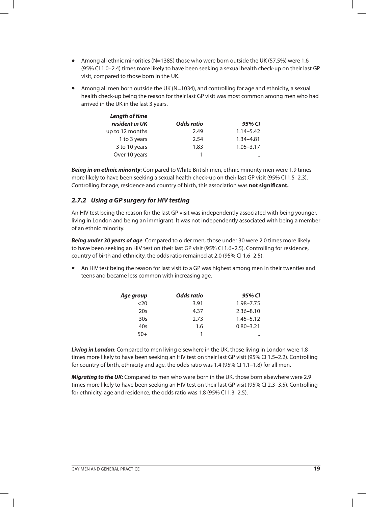- Among all ethnic minorities (N=1385) those who were born outside the UK (57.5%) were 1.6 (95% CI 1.0–2.4) times more likely to have been seeking a sexual health check-up on their last GP visit, compared to those born in the UK.
- Among all men born outside the UK (N=1034), and controlling for age and ethnicity, a sexual health check-up being the reason for their last GP visit was most common among men who had arrived in the UK in the last 3 years.

| <b>Length of time</b> |            |               |
|-----------------------|------------|---------------|
| resident in UK        | Odds ratio | 95% CI        |
| up to 12 months       | 2.49       | $1.14 - 5.42$ |
| 1 to 3 years          | 2.54       | 1.34-4.81     |
| 3 to 10 years         | 1.83       | $1.05 - 3.17$ |
| Over 10 years         |            |               |

**Being in an ethnic minority**: Compared to White British men, ethnic minority men were 1.9 times more likely to have been seeking a sexual health check-up on their last GP visit (95% CI 1.5–2.3). Controlling for age, residence and country of birth, this association was **not significant.**

## **2.7.2 Using a GP surgery for HIV testing**

An HIV test being the reason for the last GP visit was independently associated with being younger, living in London and being an immigrant. It was not independently associated with being a member of an ethnic minority.

**Being under 30 years of age**: Compared to older men, those under 30 were 2.0 times more likely to have been seeking an HIV test on their last GP visit (95% CI 1.6–2.5). Controlling for residence, country of birth and ethnicity, the odds ratio remained at 2.0 (95% CI 1.6–2.5).

• An HIV test being the reason for last visit to a GP was highest among men in their twenties and teens and became less common with increasing age.

| Age group       | Odds ratio | 95% CI        |
|-----------------|------------|---------------|
| <20             | 3.91       | $1.98 - 7.75$ |
| 20s             | 4.37       | $2.36 - 8.10$ |
| 30 <sub>s</sub> | 2.73       | $1.45 - 5.12$ |
| 40s             | 1.6        | $0.80 - 3.21$ |
| $50+$           |            |               |

**Living in London**: Compared to men living elsewhere in the UK, those living in London were 1.8 times more likely to have been seeking an HIV test on their last GP visit (95% CI 1.5–2.2). Controlling for country of birth, ethnicity and age, the odds ratio was 1.4 (95% CI 1.1–1.8) for all men.

**Migrating to the UK**: Compared to men who were born in the UK, those born elsewhere were 2.9 times more likely to have been seeking an HIV test on their last GP visit (95% CI 2.3–3.5). Controlling for ethnicity, age and residence, the odds ratio was 1.8 (95% CI 1.3–2.5).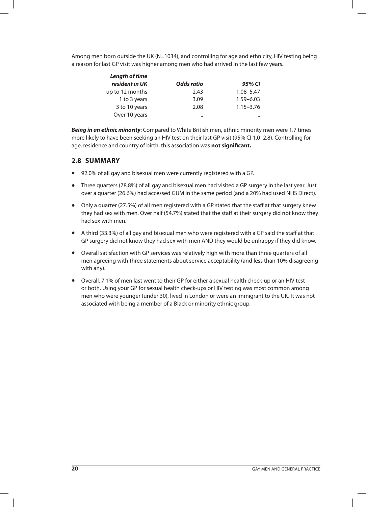Among men born outside the UK (N=1034), and controlling for age and ethnicity, HIV testing being a reason for last GP visit was higher among men who had arrived in the last few years.

| <b>Length of time</b> |                   |               |
|-----------------------|-------------------|---------------|
| resident in UK        | <b>Odds ratio</b> | 95% CI        |
| up to 12 months       | 2.43              | $1.08 - 5.47$ |
| 1 to 3 years          | 3.09              | $1.59 - 6.03$ |
| 3 to 10 years         | 2.08              | $1.15 - 3.76$ |
| Over 10 years         | $\bullet$         |               |

**Being in an ethnic minority**: Compared to White British men, ethnic minority men were 1.7 times more likely to have been seeking an HIV test on their last GP visit (95% CI 1.0–2.8). Controlling for age, residence and country of birth, this association was **not significant.**

## **2.8 SUMMARY**

- 92.0% of all gay and bisexual men were currently registered with a GP.
- Three quarters (78.8%) of all gay and bisexual men had visited a GP surgery in the last year. Just over a quarter (26.6%) had accessed GUM in the same period (and a 20% had used NHS Direct).
- Only a quarter (27.5%) of all men registered with a GP stated that the staff at that surgery knew they had sex with men. Over half (54.7%) stated that the staff at their surgery did not know they had sex with men.
- A third (33.3%) of all gay and bisexual men who were registered with a GP said the staff at that GP surgery did not know they had sex with men AND they would be unhappy if they did know.
- Overall satisfaction with GP services was relatively high with more than three quarters of all men agreeing with three statements about service acceptability (and less than 10% disagreeing with any).
- Overall, 7.1% of men last went to their GP for either a sexual health check-up or an HIV test or both. Using your GP for sexual health check-ups or HIV testing was most common among men who were younger (under 30), lived in London or were an immigrant to the UK. It was not associated with being a member of a Black or minority ethnic group.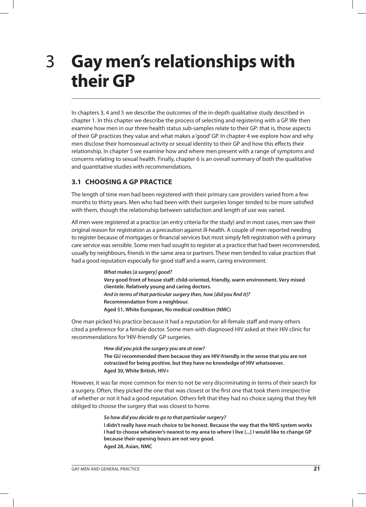## **Gay men's relationships with their GP** 3

In chapters 3, 4 and 5 we describe the outcomes of the in-depth qualitative study described in chapter 1. In this chapter we describe the process of selecting and registering with a GP. We then examine how men in our three health status sub-samples relate to their GP: that is, those aspects of their GP practices they value and what makes a 'good' GP. In chapter 4 we explore how and why men disclose their homosexual activity or sexual identity to their GP and how this effects their relationship. In chapter 5 we examine how and where men present with a range of symptoms and concerns relating to sexual health. Finally, chapter 6 is an overall summary of both the qualitative and quantitative studies with recommendations.

## **3.1 CHOOSING A GP PRACTICE**

The length of time men had been registered with their primary care providers varied from a few months to thirty years. Men who had been with their surgeries longer tended to be more satisfied with them, though the relationship between satisfaction and length of use was varied.

All men were registered at a practice (an entry criteria for the study) and in most cases, men saw their original reason for registration as a precaution against ill-health. A couple of men reported needing to register because of mortgages or financial services but most simply felt registration with a primary care service was sensible. Some men had sought to register at a practice that had been recommended, usually by neighbours, friends in the same area or partners. These men tended to value practices that had a good reputation especially for good staff and a warm, caring environment.

> **What makes [a surgery] good? Very good front of house staff: child-oriented, friendly, warm environment. Very mixed clientele. Relatively young and caring doctors. And in terms of that particular surgery then, how [did you find it]? Recommendation from a neighbour. Aged 51, White European, No medical condition (NMC)**

One man picked his practice because it had a reputation for all-female staff and many others cited a preference for a female doctor. Some men with diagnosed HIV asked at their HIV clinic for recommendations for 'HIV-friendly' GP surgeries.

> **How did you pick the surgery you are at now? The GU recommended them because they are HIV-friendly in the sense that you are not ostracized for being positive, but they have no knowledge of HIV whatsoever. Aged 30, White British, HIV+**

However, it was far more common for men to not be very discriminating in terms of their search for a surgery. Often, they picked the one that was closest or the first one that took them irrespective of whether or not it had a good reputation. Others felt that they had no choice saying that they felt obliged to choose the surgery that was closest to home.

#### **So how did you decide to go to that particular surgery?**

**I didn't really have much choice to be honest. Because the way that the NHS system works I had to choose whatever's nearest to my area to where I live [...] I would like to change GP because their opening hours are not very good. Aged 28, Asian, NMC**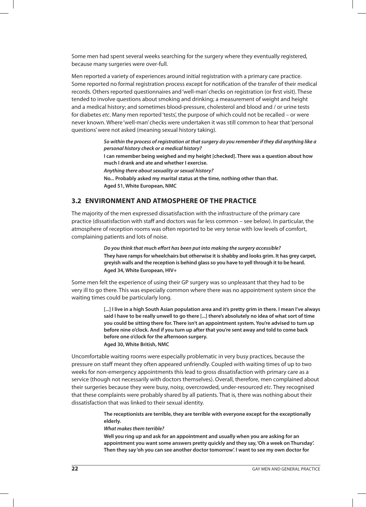Some men had spent several weeks searching for the surgery where they eventually registered, because many surgeries were over-full.

Men reported a variety of experiences around initial registration with a primary care practice. Some reported no formal registration process except for notification of the transfer of their medical records. Others reported questionnaires and 'well-man' checks on registration (or first visit). These tended to involve questions about smoking and drinking; a measurement of weight and height and a medical history; and sometimes blood-pressure, cholesterol and blood and / or urine tests for diabetes etc. Many men reported 'tests', the purpose of which could not be recalled – or were never known. Where 'well-man' checks were undertaken it was still common to hear that 'personal questions' were not asked (meaning sexual history taking).

> **So within the process of registration at that surgery do you remember if they did anything like a personal history check or a medical history? I can remember being weighed and my height [checked]. There was a question about how much I drank and ate and whether I exercise. Anything there about sexuality or sexual history? No... Probably asked my marital status at the time, nothing other than that. Aged 51, White European, NMC**

## **3.2 ENVIRONMENT AND ATMOSPHERE OF THE PRACTICE**

The majority of the men expressed dissatisfaction with the infrastructure of the primary care practice (dissatisfaction with staff and doctors was far less common – see below). In particular, the atmosphere of reception rooms was often reported to be very tense with low levels of comfort, complaining patients and lots of noise.

> **Do you think that much effort has been put into making the surgery accessible? They have ramps for wheelchairs but otherwise it is shabby and looks grim. It has grey carpet, greyish walls and the reception is behind glass so you have to yell through it to be heard. Aged 34, White European, HIV+**

Some men felt the experience of using their GP surgery was so unpleasant that they had to be very ill to go there. This was especially common where there was no appointment system since the waiting times could be particularly long.

> **[...] I live in a high South Asian population area and it's pretty grim in there. I mean I've always said I have to be really unwell to go there [...] there's absolutely no idea of what sort of time you could be sitting there for. There isn't an appointment system. You're advised to turn up before nine o'clock. And if you turn up after that you're sent away and told to come back before one o'clock for the afternoon surgery. Aged 30, White British, NMC**

Uncomfortable waiting rooms were especially problematic in very busy practices, because the pressure on staff meant they often appeared unfriendly. Coupled with waiting times of up to two weeks for non-emergency appointments this lead to gross dissatisfaction with primary care as a service (though not necessarily with doctors themselves). Overall, therefore, men complained about their surgeries because they were busy, noisy, overcrowded, under-resourced etc. They recognised that these complaints were probably shared by all patients. That is, there was nothing about their dissatisfaction that was linked to their sexual identity.

> **The receptionists are terrible, they are terrible with everyone except for the exceptionally elderly.**

**What makes them terrible?**

**Well you ring up and ask for an appointment and usually when you are asking for an appointment you want some answers pretty quickly and they say, 'Oh a week on Thursday'. Then they say 'oh you can see another doctor tomorrow'. I want to see my own doctor for**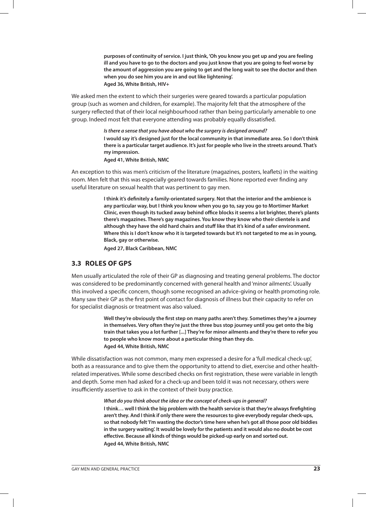**purposes of continuity of service. I just think, 'Oh you know you get up and you are feeling ill and you have to go to the doctors and you just know that you are going to feel worse by the amount of aggression you are going to get and the long wait to see the doctor and then when you do see him you are in and out like lightening'. Aged 36, White British, HIV+**

We asked men the extent to which their surgeries were geared towards a particular population group (such as women and children, for example). The majority felt that the atmosphere of the surgery reflected that of their local neighbourhood rather than being particularly amenable to one group. Indeed most felt that everyone attending was probably equally dissatisfied.

> **Is there a sense that you have about who the surgery is designed around? I would say it's designed just for the local community in that immediate area. So I don't think there is a particular target audience. It's just for people who live in the streets around. That's my impression.**

**Aged 41, White British, NMC** 

An exception to this was men's criticism of the literature (magazines, posters, leaflets) in the waiting room. Men felt that this was especially geared towards families. None reported ever finding any useful literature on sexual health that was pertinent to gay men.

> **I think it's definitely a family-orientated surgery. Not that the interior and the ambience is any particular way, but I think you know when you go to, say you go to Mortimer Market Clinic, even though its tucked away behind office blocks it seems a lot brighter, there's plants there's magazines. There's gay magazines. You know they know who their clientele is and although they have the old hard chairs and stuff like that it's kind of a safer environment. Where this is I don't know who it is targeted towards but it's not targeted to me as in young, Black, gay or otherwise.**

**Aged 27, Black Caribbean, NMC**

#### **3.3 ROLES OF GPS**

Men usually articulated the role of their GP as diagnosing and treating general problems. The doctor was considered to be predominantly concerned with general health and 'minor ailments'. Usually this involved a specific concern, though some recognised an advice-giving or health promoting role. Many saw their GP as the first point of contact for diagnosis of illness but their capacity to refer on for specialist diagnosis or treatment was also valued.

> **Well they're obviously the first step on many paths aren't they. Sometimes they're a journey in themselves. Very often they're just the three bus stop journey until you get onto the big train that takes you a lot further [...] They're for minor ailments and they're there to refer you to people who know more about a particular thing than they do. Aged 44, White British, NMC**

While dissatisfaction was not common, many men expressed a desire for a 'full medical check-up', both as a reassurance and to give them the opportunity to attend to diet, exercise and other healthrelated imperatives. While some described checks on first registration, these were variable in length and depth. Some men had asked for a check-up and been told it was not necessary, others were insufficiently assertive to ask in the context of their busy practice.

#### **What do you think about the idea or the concept of check-ups in general?**

**I think… well I think the big problem with the health service is that they're always firefighting aren't they. And I think if only there were the resources to give everybody regular check-ups, so that nobody felt 'I'm wasting the doctor's time here when he's got all those poor old biddies in the surgery waiting'. It would be lovely for the patients and it would also no doubt be cost effective. Because all kinds of things would be picked-up early on and sorted out. Aged 44, White British, NMC**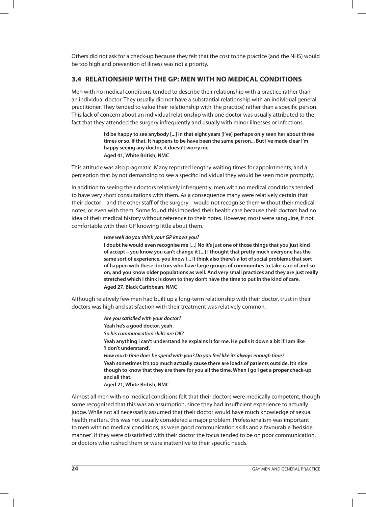Others did not ask for a check-up because they felt that the cost to the practice (and the NHS) would be too high and prevention of illness was not a priority.

## **3.4 RELATIONSHIP WITH THE GP: MEN WITH NO MEDICAL CONDITIONS**

Men with no medical conditions tended to describe their relationship with a practice rather than an individual doctor. They usually did not have a substantial relationship with an individual general practitioner. They tended to value their relationship with 'the practice', rather than a specific person. This lack of concern about an individual relationship with one doctor was usually attributed to the fact that they attended the surgery infrequently and usually with minor illnesses or infections.

> **I'd be happy to see anybody [...] in that eight years [I've] perhaps only seen her about three times or so. If that. It happens to be have been the same person... But I've made clear I'm happy seeing any doctor, it doesn't worry me. Aged 41, White British, NMC**

This attitude was also pragmatic. Many reported lengthy waiting times for appointments, and a perception that by not demanding to see a specific individual they would be seen more promptly.

In addition to seeing their doctors relatively infrequently, men with no medical conditions tended to have very short consultations with them. As a consequence many were relatively certain that their doctor – and the other staff of the surgery – would not recognise them without their medical notes, or even with them. Some found this impeded their health care because their doctors had no idea of their medical history without reference to their notes. However, most were sanguine, if not comfortable with their GP knowing little about them.

#### **How well do you think your GP knows you?**

**I doubt he would even recognise me [...] No it's just one of those things that you just kind of accept – you know you can't change it [...] I thought that pretty much everyone has the same sort of experience, you know [...] I think also there's a lot of social problems that sort of happen with these doctors who have large groups of communities to take care of and so on, and you know older populations as well. And very small practices and they are just really stretched which I think is down to they don't have the time to put in the kind of care. Aged 27, Black Caribbean, NMC**

Although relatively few men had built up a long-term relationship with their doctor, trust in their doctors was high and satisfaction with their treatment was relatively common.

> **Are you satisfied with your doctor? Yeah he's a good doctor, yeah. So his communication skills are OK? Yeah anything I can't understand he explains it for me. He pulls it down a bit if I am like 'I don't understand'. How much time does he spend with you? Do you feel like its always enough time? Yeah sometimes it's too much actually cause there are loads of patients outside. It's nice though to know that they are there for you all the time. When I go I get a proper check-up and all that. Aged 21, White British, NMC**

Almost all men with no medical conditions felt that their doctors were medically competent, though some recognised that this was an assumption, since they had insufficient experience to actually judge. While not all necessarily assumed that their doctor would have much knowledge of sexual health matters, this was not usually considered a major problem. Professionalism was important to men with no medical conditions, as were good communication skills and a favourable 'bedside manner'. If they were dissatisfied with their doctor the focus tended to be on poor communication, or doctors who rushed them or were inattentive to their specific needs.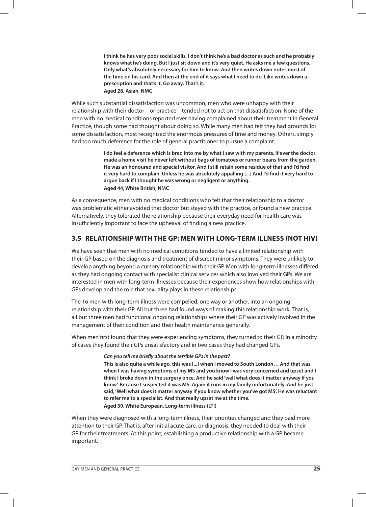**I think he has very poor social skills. I don't think he's a bad doctor as such and he probably knows what he's doing. But I just sit down and it's very quiet. He asks me a few questions. Only what's absolutely necessary for him to know. And then writes down notes most of the time on his card. And then at the end of it says what I need to do. Like writes down a prescription and that's it. Go away. That's it. Aged 28, Asian, NMC**

While such substantial dissatisfaction was uncommon, men who were unhappy with their relationship with their doctor – or practice – tended not to act on that dissatisfaction. None of the men with no medical conditions reported ever having complained about their treatment in General Practice, though some had thought about doing so. While many men had felt they had grounds for some dissatisfaction, most recognised the enormous pressures of time and money. Others, simply had too much deference for the role of general practitioner to pursue a complaint.

> **I do feel a deference which is bred into me by what I saw with my parents. If ever the doctor made a home visit he never left without bags of tomatoes or runner beans from the garden. He was an honoured and special visitor. And I still retain some residue of that and I'd find it very hard to complain. Unless he was absolutely appalling [...] And I'd find it very hard to argue back if I thought he was wrong or negligent or anything. Aged 44, White British, NMC**

As a consequence, men with no medical conditions who felt that their relationship to a doctor was problematic either avoided that doctor but stayed with the practice, or found a new practice. Alternatively, they tolerated the relationship because their everyday need for health care was insufficiently important to face the upheaval of finding a new practice.

## **3.5 RELATIONSHIP WITH THE GP: MEN WITH LONG-TERM ILLNESS (NOT HIV)**

We have seen that men with no medical conditions tended to have a limited relationship with their GP based on the diagnosis and treatment of discreet minor symptoms. They were unlikely to develop anything beyond a cursory relationship with their GP. Men with long-term illnesses differed as they had ongoing contact with specialist clinical services which also involved their GPs. We are interested in men with long-term illnesses because their experiences show how relationships with GPs develop and the role that sexuality plays in these relationships.

The 16 men with long-term illness were compelled, one way or another, into an ongoing relationship with their GP. All but three had found ways of making this relationship work. That is, all but three men had functional ongoing relationships where their GP was actively involved in the management of their condition and their health maintenance generally.

When men first found that they were experiencing symptoms, they turned to their GP. In a minority of cases they found their GPs unsatisfactory and in two cases they had changed GPs.

#### **Can you tell me briefly about the terrible GPs in the past?**

**This is also quite a while ago, this was [...] when I moved to South London… And that was when I was having symptoms of my MS and you know I was very concerned and upset and I think I broke down in the surgery once. And he said 'well what does it matter anyway if you know'. Because I suspected it was MS. Again it runs in my family unfortunately. And he just said, 'Well what does it matter anyway if you know whether you've got MS'. He was reluctant to refer me to a specialist. And that really upset me at the time. Aged 39, White European, Long-term illness (LTI)**

When they were diagnosed with a long-term illness, their priorities changed and they paid more attention to their GP. That is, after initial acute care, or diagnosis, they needed to deal with their GP for their treatments. At this point, establishing a productive relationship with a GP became important.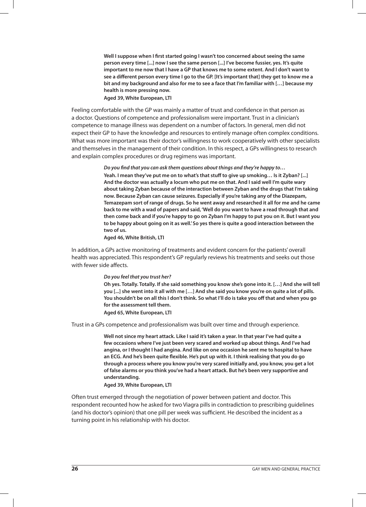**Well I suppose when I first started going I wasn't too concerned about seeing the same person every time [...] now I see the same person [...] I've become fussier, yes. It's quite important to me now that I have a GP that knows me to some extent. And I don't want to see a different person every time I go to the GP. [It's important that] they get to know me a bit and my background and also for me to see a face that I'm familiar with […] because my health is more pressing now.** 

#### **Aged 39, White European, LTI**

Feeling comfortable with the GP was mainly a matter of trust and confidence in that person as a doctor. Questions of competence and professionalism were important. Trust in a clinician's competence to manage illness was dependent on a number of factors. In general, men did not expect their GP to have the knowledge and resources to entirely manage often complex conditions. What was more important was their doctor's willingness to work cooperatively with other specialists and themselves in the management of their condition. In this respect, a GPs willingness to research and explain complex procedures or drug regimens was important.

> **Do you find that you can ask them questions about things and they're happy to… Yeah. I mean they've put me on to what's that stuff to give up smoking… Is it Zyban? [...] And the doctor was actually a locum who put me on that. And I said well I'm quite wary about taking Zyban because of the interaction between Zyban and the drugs that I'm taking now. Because Zyban can cause seizures. Especially if you're taking any of the Diazepam, Temazepam sort of range of drugs. So he went away and researched it all for me and he came back to me with a wad of papers and said, 'Well do you want to have a read through that and then come back and if you're happy to go on Zyban I'm happy to put you on it. But I want you to be happy about going on it as well.' So yes there is quite a good interaction between the two of us.**

**Aged 46, White British, LTI** 

In addition, a GPs active monitoring of treatments and evident concern for the patients' overall health was appreciated. This respondent's GP regularly reviews his treatments and seeks out those with fewer side affects.

#### **Do you feel that you trust her?**

**Oh yes. Totally. Totally. If she said something you know she's gone into it. […] And she will tell you [...] she went into it all with me […] And she said you know you're on quite a lot of pills. You shouldn't be on all this I don't think. So what I'll do is take you off that and when you go for the assessment tell them.** 

#### **Aged 65, White European, LTI**

Trust in a GPs competence and professionalism was built over time and through experience.

**Well not since my heart attack. Like I said it's taken a year. In that year I've had quite a few occasions where I've just been very scared and worked up about things. And I've had angina, or I thought I had angina. And like on one occasion he sent me to hospital to have an ECG. And he's been quite flexible. He's put up with it. I think realising that you do go through a process where you know you're very scared initially and, you know, you get a lot of false alarms or you think you've had a heart attack. But he's been very supportive and understanding.**

#### **Aged 39, White European, LTI**

Often trust emerged through the negotiation of power between patient and doctor. This respondent recounted how he asked for two Viagra pills in contradiction to prescribing guidelines (and his doctor's opinion) that one pill per week was sufficient. He described the incident as a turning point in his relationship with his doctor.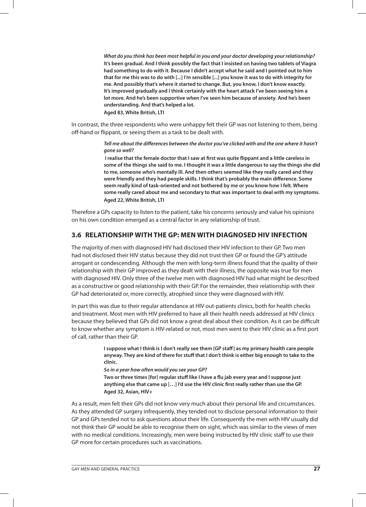**What do you think has been most helpful in you and your doctor developing your relationship? It's been gradual. And I think possibly the fact that I insisted on having two tablets of Viagra had something to do with it. Because I didn't accept what he said and I pointed out to him that for me this was to do with [...] I'm sensible [...] you know it was to do with integrity for me. And possibly that's where it started to change. But, you know, I don't know exactly. It's improved gradually and I think certainly with the heart attack I've been seeing him a lot more. And he's been supportive when I've seen him because of anxiety. And he's been understanding. And that's helped a lot. Aged 83, White British, LTI**

In contrast, the three respondents who were unhappy felt their GP was not listening to them, being off-hand or flippant, or seeing them as a task to be dealt with.

> **Tell me about the differences between the doctor you've clicked with and the one where it hasn't gone so well?**

 **I realise that the female doctor that I saw at first was quite flippant and a little careless in some of the things she said to me. I thought it was a little dangerous to say the things she did to me, someone who's mentally ill. And then others seemed like they really cared and they were friendly and they had people skills. I think that's probably the main difference. Some seem really kind of task-oriented and not bothered by me or you know how I felt. Where some really cared about me and secondary to that was important to deal with my symptoms. Aged 22, White British, LTI**

Therefore a GPs capacity to listen to the patient, take his concerns seriously and value his opinions on his own condition emerged as a central factor in any relationship of trust.

## **3.6 RELATIONSHIP WITH THE GP: MEN WITH DIAGNOSED HIV INFECTION**

The majority of men with diagnosed HIV had disclosed their HIV infection to their GP. Two men had not disclosed their HIV status because they did not trust their GP or found the GP's attitude arrogant or condescending. Although the men with long-term illness found that the quality of their relationship with their GP improved as they dealt with their illness, the opposite was true for men with diagnosed HIV. Only three of the twelve men with diagnosed HIV had what might be described as a constructive or good relationship with their GP. For the remainder, their relationship with their GP had deteriorated or, more correctly, atrophied since they were diagnosed with HIV.

In part this was due to their regular attendance at HIV out-patients clinics, both for health checks and treatment. Most men with HIV preferred to have all their health needs addressed at HIV clinics because they believed that GPs did not know a great deal about their condition. As it can be difficult to know whether any symptom is HIV-related or not, most men went to their HIV clinic as a first port of call, rather than their GP.

> **I suppose what I think is I don't really see them [GP staff] as my primary health care people anyway. They are kind of there for stuff that I don't think is either big enough to take to the clinic.**

**So in a year how often would you see your GP?**

**Two or three times [for] regular stuff like I have a flu jab every year and I suppose just anything else that came up […] I'd use the HIV clinic first really rather than use the GP. Aged 32, Asian, HIV+**

As a result, men felt their GPs did not know very much about their personal life and circumstances. As they attended GP surgery infrequently, they tended not to disclose personal information to their GP and GPs tended not to ask questions about their life. Consequently the men with HIV usually did not think their GP would be able to recognise them on sight, which was similar to the views of men with no medical conditions. Increasingly, men were being instructed by HIV clinic staff to use their GP more for certain procedures such as vaccinations.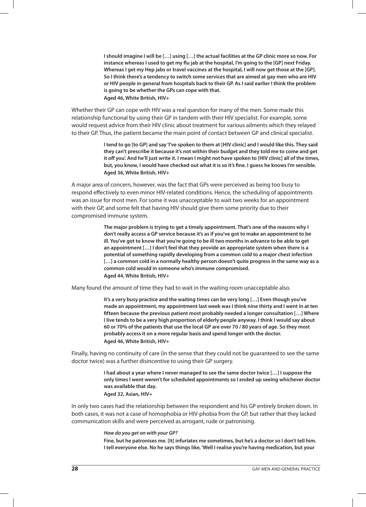**I should imagine I will be […] using […] the actual facilities at the GP clinic more so now. For instance whereas I used to get my flu jab at the hospital, I'm going to the [GP] next Friday. Whereas I get my Hep jabs or travel vaccines at the hospital, I will now get those at the [GP]. So I think there's a tendency to switch some services that are aimed at gay men who are HIV or HIV people in general from hospitals back to their GP. As I said earlier I think the problem is going to be whether the GPs can cope with that. Aged 46, White British, HIV+**

Whether their GP can cope with HIV was a real question for many of the men. Some made this relationship functional by using their GP in tandem with their HIV specialist. For example, some would request advice from their HIV clinic about treatment for various ailments which they relayed to their GP. Thus, the patient became the main point of contact between GP and clinical specialist.

> **I tend to go [to GP] and say 'I've spoken to them at [HIV clinic] and I would like this. They said they can't prescribe it because it's not within their budget and they told me to come and get it off you'. And he'll just write it. I mean I might not have spoken to [HIV clinic] all of the times, but, you know, I would have checked out what it is so it's fine. I guess he knows I'm sensible. Aged 36, White British, HIV+**

A major area of concern, however, was the fact that GPs were perceived as being too busy to respond effectively to even minor HIV-related conditions. Hence, the scheduling of appointments was an issue for most men. For some it was unacceptable to wait two weeks for an appointment with their GP, and some felt that having HIV should give them some priority due to their compromised immune system.

> **The major problem is trying to get a timely appointment. That's one of the reasons why I don't really access a GP service because it's as if you've got to make an appointment to be ill. You've got to know that you're going to be ill two months in advance to be able to get an appointment […] I don't feel that they provide an appropriate system when there is a potential of something rapidly developing from a common cold to a major chest infection […] a common cold in a normally healthy person doesn't quite progress in the same way as a common cold would in someone who's immune compromised. Aged 44, White British, HIV+**

Many found the amount of time they had to wait in the waiting room unacceptable also.

**It's a very busy practice and the waiting times can be very long […] Even though you've made an appointment, my appointment last week was I think nine thirty and I went in at ten fifteen because the previous patient most probably needed a longer consultation […] Where I live tends to be a very high proportion of elderly people anyway. I think I would say about 60 or 70% of the patients that use the local GP are over 70 / 80 years of age. So they most probably access it on a more regular basis and spend longer with the doctor. Aged 46, White British, HIV+**

Finally, having no continuity of care (in the sense that they could not be guaranteed to see the same doctor twice) was a further disincentive to using their GP surgery.

> **I had about a year where I never managed to see the same doctor twice […] I suppose the only times I went weren't for scheduled appointments so I ended up seeing whichever doctor was available that day.**

**Aged 32, Asian, HIV+**

In only two cases had the relationship between the respondent and his GP entirely broken down. In both cases, it was not a case of homophobia or HIV-phobia from the GP, but rather that they lacked communication skills and were perceived as arrogant, rude or patronising.

#### **How do you get on with your GP?**

**Fine, but he patronises me. [It] infuriates me sometimes, but he's a doctor so I don't tell him. I tell everyone else. No he says things like, 'Well I realise you're having medication, but your**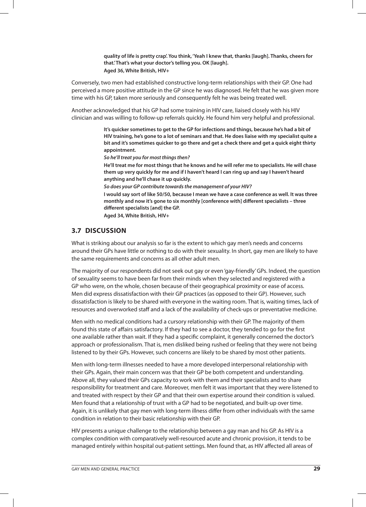**quality of life is pretty crap'. You think, 'Yeah I knew that, thanks [laugh]. Thanks, cheers for that.' That's what your doctor's telling you. OK [laugh]. Aged 36, White British, HIV+**

Conversely, two men had established constructive long-term relationships with their GP. One had perceived a more positive attitude in the GP since he was diagnosed. He felt that he was given more time with his GP, taken more seriously and consequently felt he was being treated well.

Another acknowledged that his GP had some training in HIV care, liaised closely with his HIV clinician and was willing to follow-up referrals quickly. He found him very helpful and professional.

> **It's quicker sometimes to get to the GP for infections and things, because he's had a bit of HIV training, he's gone to a lot of seminars and that. He does liaise with my specialist quite a bit and it's sometimes quicker to go there and get a check there and get a quick eight thirty appointment.**

**So he'll treat you for most things then?**

**He'll treat me for most things that he knows and he will refer me to specialists. He will chase them up very quickly for me and if I haven't heard I can ring up and say I haven't heard anything and he'll chase it up quickly.**

**So does your GP contribute towards the management of your HIV?**

**I would say sort of like 50/50, because I mean we have a case conference as well. It was three monthly and now it's gone to six monthly [conference with] different specialists – three different specialists [and] the GP.** 

**Aged 34, White British, HIV+**

## **3.7 DISCUSSION**

What is striking about our analysis so far is the extent to which gay men's needs and concerns around their GPs have little or nothing to do with their sexuality. In short, gay men are likely to have the same requirements and concerns as all other adult men.

The majority of our respondents did not seek out gay or even 'gay-friendly' GPs. Indeed, the question of sexuality seems to have been far from their minds when they selected and registered with a GP who were, on the whole, chosen because of their geographical proximity or ease of access. Men did express dissatisfaction with their GP practices (as opposed to their GP). However, such dissatisfaction is likely to be shared with everyone in the waiting room. That is, waiting times, lack of resources and overworked staff and a lack of the availability of check-ups or preventative medicine.

Men with no medical conditions had a cursory relationship with their GP. The majority of them found this state of affairs satisfactory. If they had to see a doctor, they tended to go for the first one available rather than wait. If they had a specific complaint, it generally concerned the doctor's approach or professionalism. That is, men disliked being rushed or feeling that they were not being listened to by their GPs. However, such concerns are likely to be shared by most other patients.

Men with long-term illnesses needed to have a more developed interpersonal relationship with their GPs. Again, their main concern was that their GP be both competent and understanding. Above all, they valued their GPs capacity to work with them and their specialists and to share responsibility for treatment and care. Moreover, men felt it was important that they were listened to and treated with respect by their GP and that their own expertise around their condition is valued. Men found that a relationship of trust with a GP had to be negotiated, and built-up over time. Again, it is unlikely that gay men with long-term illness differ from other individuals with the same condition in relation to their basic relationship with their GP.

HIV presents a unique challenge to the relationship between a gay man and his GP. As HIV is a complex condition with comparatively well-resourced acute and chronic provision, it tends to be managed entirely within hospital out-patient settings. Men found that, as HIV affected all areas of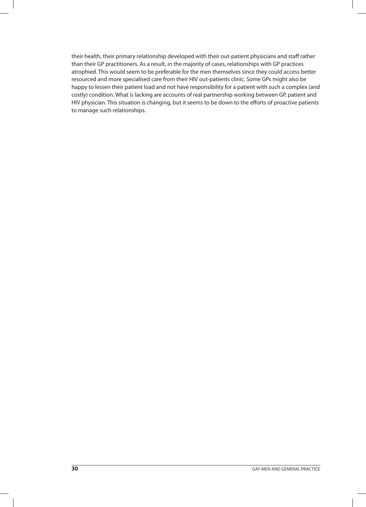their health, their primary relationship developed with their out-patient physicians and staff rather than their GP practitioners. As a result, in the majority of cases, relationships with GP practices atrophied. This would seem to be preferable for the men themselves since they could access better resourced and more specialised care from their HIV out-patients clinic. Some GPs might also be happy to lessen their patient load and not have responsibility for a patient with such a complex (and costly) condition. What is lacking are accounts of real partnership working between GP, patient and HIV physician. This situation is changing, but it seems to be down to the efforts of proactive patients to manage such relationships.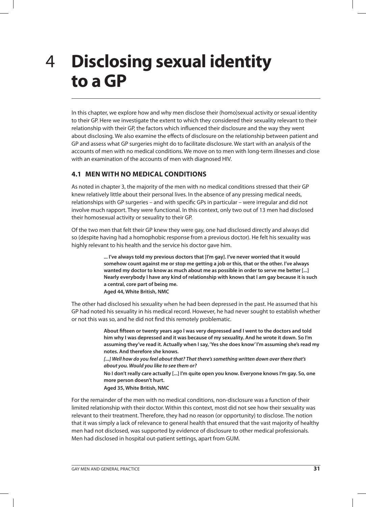## **Disclosing sexual identity to a GP** 4

In this chapter, we explore how and why men disclose their (homo)sexual activity or sexual identity to their GP. Here we investigate the extent to which they considered their sexuality relevant to their relationship with their GP, the factors which influenced their disclosure and the way they went about disclosing. We also examine the effects of disclosure on the relationship between patient and GP and assess what GP surgeries might do to facilitate disclosure. We start with an analysis of the accounts of men with no medical conditions. We move on to men with long-term illnesses and close with an examination of the accounts of men with diagnosed HIV.

## **4.1 MEN WITH NO MEDICAL CONDITIONS**

As noted in chapter 3, the majority of the men with no medical conditions stressed that their GP knew relatively little about their personal lives. In the absence of any pressing medical needs, relationships with GP surgeries – and with specific GPs in particular – were irregular and did not involve much rapport. They were functional. In this context, only two out of 13 men had disclosed their homosexual activity or sexuality to their GP.

Of the two men that felt their GP knew they were gay, one had disclosed directly and always did so (despite having had a homophobic response from a previous doctor). He felt his sexuality was highly relevant to his health and the service his doctor gave him.

> **... I've always told my previous doctors that [I'm gay]. I've never worried that it would somehow count against me or stop me getting a job or this, that or the other. I've always wanted my doctor to know as much about me as possible in order to serve me better [...] Nearly everybody I have any kind of relationship with knows that I am gay because it is such a central, core part of being me. Aged 44, White British, NMC**

The other had disclosed his sexuality when he had been depressed in the past. He assumed that his GP had noted his sexuality in his medical record. However, he had never sought to establish whether or not this was so, and he did not find this remotely problematic.

> **About fifteen or twenty years ago I was very depressed and I went to the doctors and told him why I was depressed and it was because of my sexuality. And he wrote it down. So I'm assuming they've read it. Actually when I say, 'Yes she does know' I'm assuming she's read my notes. And therefore she knows. [...] Well how do you feel about that? That there's something written down over there that's about you. Would you like to see them or?**

**No I don't really care actually [...] I'm quite open you know. Everyone knows I'm gay. So, one more person doesn't hurt.**

**Aged 35, White British, NMC**

For the remainder of the men with no medical conditions, non-disclosure was a function of their limited relationship with their doctor. Within this context, most did not see how their sexuality was relevant to their treatment. Therefore, they had no reason (or opportunity) to disclose. The notion that it was simply a lack of relevance to general health that ensured that the vast majority of healthy men had not disclosed, was supported by evidence of disclosure to other medical professionals. Men had disclosed in hospital out-patient settings, apart from GUM.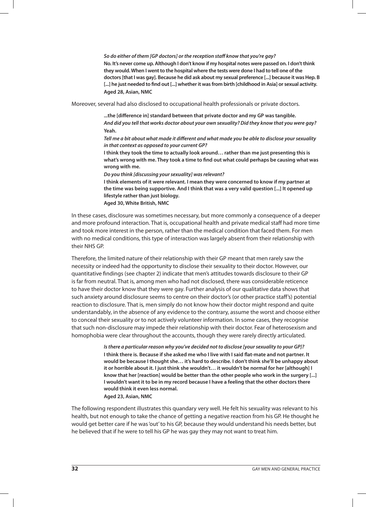**So do either of them [GP doctors] or the reception staff know that you're gay? No. It's never come up. Although I don't know if my hospital notes were passed on. I don't think they would. When I went to the hospital where the tests were done I had to tell one of the doctors [that I was gay]. Because he did ask about my sexual preference [...] because it was Hep. B [...] he just needed to find out [...] whether it was from birth [childhood in Asia] or sexual activity. Aged 28, Asian, NMC**

Moreover, several had also disclosed to occupational health professionals or private doctors.

**...the [difference in] standard between that private doctor and my GP was tangible. And did you tell that works doctor about your own sexuality? Did they know that you were gay? Yeah.**

**Tell me a bit about what made it different and what made you be able to disclose your sexuality in that context as opposed to your current GP?**

**I think they took the time to actually look around… rather than me just presenting this is what's wrong with me. They took a time to find out what could perhaps be causing what was wrong with me.**

**Do you think [discussing your sexuality] was relevant?**

**I think elements of it were relevant. I mean they were concerned to know if my partner at the time was being supportive. And I think that was a very valid question [...] It opened up lifestyle rather than just biology. Aged 30, White British, NMC**

In these cases, disclosure was sometimes necessary, but more commonly a consequence of a deeper and more profound interaction. That is, occupational health and private medical staff had more time and took more interest in the person, rather than the medical condition that faced them. For men with no medical conditions, this type of interaction was largely absent from their relationship with their NHS GP.

Therefore, the limited nature of their relationship with their GP meant that men rarely saw the necessity or indeed had the opportunity to disclose their sexuality to their doctor. However, our quantitative findings (see chapter 2) indicate that men's attitudes towards disclosure to their GP is far from neutral. That is, among men who had not disclosed, there was considerable reticence to have their doctor know that they were gay. Further analysis of our qualitative data shows that such anxiety around disclosure seems to centre on their doctor's (or other practice staff's) potential reaction to disclosure. That is, men simply do not know how their doctor might respond and quite understandably, in the absence of any evidence to the contrary, assume the worst and choose either to conceal their sexuality or to not actively volunteer information. In some cases, they recognise that such non-disclosure may impede their relationship with their doctor. Fear of heterosexism and homophobia were clear throughout the accounts, though they were rarely directly articulated.

> **Is there a particular reason why you've decided not to disclose [your sexuality to your GP]? I think there is. Because if she asked me who I live with I said flat-mate and not partner. It would be because I thought she… it's hard to describe. I don't think she'll be unhappy about it or horrible about it. I just think she wouldn't… it wouldn't be normal for her [although] I know that her [reaction] would be better than the other people who work in the surgery [...] I wouldn't want it to be in my record because I have a feeling that the other doctors there would think it even less normal.**

**Aged 23, Asian, NMC**

The following respondent illustrates this quandary very well. He felt his sexuality was relevant to his health, but not enough to take the chance of getting a negative reaction from his GP. He thought he would get better care if he was 'out' to his GP, because they would understand his needs better, but he believed that if he were to tell his GP he was gay they may not want to treat him.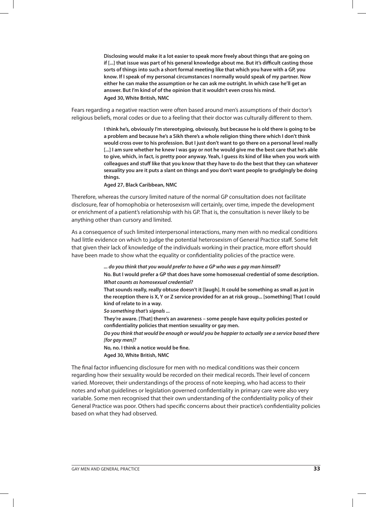**Disclosing would make it a lot easier to speak more freely about things that are going on if [...] that issue was part of his general knowledge about me. But it's difficult casting those sorts of things into such a short formal meeting like that which you have with a GP, you know. If I speak of my personal circumstances I normally would speak of my partner. Now either he can make the assumption or he can ask me outright. In which case he'll get an answer. But I'm kind of of the opinion that it wouldn't even cross his mind. Aged 30, White British, NMC**

Fears regarding a negative reaction were often based around men's assumptions of their doctor's religious beliefs, moral codes or due to a feeling that their doctor was culturally different to them.

> **I think he's, obviously I'm stereotyping, obviously, but because he is old there is going to be a problem and because he's a Sikh there's a whole religion thing there which I don't think would cross over to his profession. But I just don't want to go there on a personal level really [...] I am sure whether he knew I was gay or not he would give me the best care that he's able to give, which, in fact, is pretty poor anyway. Yeah, I guess its kind of like when you work with colleagues and stuff like that you know that they have to do the best that they can whatever sexuality you are it puts a slant on things and you don't want people to grudgingly be doing things.**

**Aged 27, Black Caribbean, NMC**

Therefore, whereas the cursory limited nature of the normal GP consultation does not facilitate disclosure, fear of homophobia or heterosexism will certainly, over time, impede the development or enrichment of a patient's relationship with his GP. That is, the consultation is never likely to be anything other than cursory and limited.

As a consequence of such limited interpersonal interactions, many men with no medical conditions had little evidence on which to judge the potential heterosexism of General Practice staff. Some felt that given their lack of knowledge of the individuals working in their practice, more effort should have been made to show what the equality or confidentiality policies of the practice were.

> **... do you think that you would prefer to have a GP who was a gay man himself? No. But I would prefer a GP that does have some homosexual credential of some description. What counts as homosexual credential?**

> **That sounds really, really obtuse doesn't it [laugh]. It could be something as small as just in the reception there is X, Y or Z service provided for an at risk group... [something] That I could kind of relate to in a way.**

**So something that's signals ...** 

**They're aware. [That] there's an awareness – some people have equity policies posted or confidentiality policies that mention sexuality or gay men.** 

**Do you think that would be enough or would you be happier to actually see a service based there [for gay men]?**

**No, no. I think a notice would be fine.**

**Aged 30, White British, NMC**

The final factor influencing disclosure for men with no medical conditions was their concern regarding how their sexuality would be recorded on their medical records. Their level of concern varied. Moreover, their understandings of the process of note keeping, who had access to their notes and what guidelines or legislation governed confidentiality in primary care were also very variable. Some men recognised that their own understanding of the confidentiality policy of their General Practice was poor. Others had specific concerns about their practice's confidentiality policies based on what they had observed.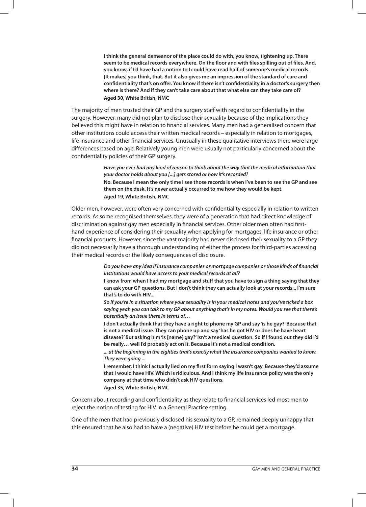**I think the general demeanor of the place could do with, you know, tightening up. There seem to be medical records everywhere. On the floor and with files spilling out of files. And, you know, if I'd have had a notion to I could have read half of someone's medical records. [It makes] you think, that. But it also gives me an impression of the standard of care and confidentiality that's on offer. You know if there isn't confidentiality in a doctor's surgery then where is there? And if they can't take care about that what else can they take care of? Aged 30, White British, NMC**

The majority of men trusted their GP and the surgery staff with regard to confidentiality in the surgery. However, many did not plan to disclose their sexuality because of the implications they believed this might have in relation to financial services. Many men had a generalised concern that other institutions could access their written medical records – especially in relation to mortgages, life insurance and other financial services. Unusually in these qualitative interviews there were large differences based on age. Relatively young men were usually not particularly concerned about the confidentiality policies of their GP surgery.

> **Have you ever had any kind of reason to think about the way that the medical information that your doctor holds about you [...] gets stored or how it's recorded?**

> **No. Because I mean the only time I see those records is when I've been to see the GP and see them on the desk. It's never actually occurred to me how they would be kept. Aged 19, White British, NMC**

Older men, however, were often very concerned with confidentiality especially in relation to written records. As some recognised themselves, they were of a generation that had direct knowledge of discrimination against gay men especially in financial services. Other older men often had firsthand experience of considering their sexuality when applying for mortgages, life insurance or other financial products. However, since the vast majority had never disclosed their sexuality to a GP they did not necessarily have a thorough understanding of either the process for third-parties accessing their medical records or the likely consequences of disclosure.

> **Do you have any idea if insurance companies or mortgage companies or those kinds of financial institutions would have access to your medical records at all?**

> **I know from when I had my mortgage and stuff that you have to sign a thing saying that they can ask your GP questions. But I don't think they can actually look at your records... I'm sure that's to do with HIV...**

> **So if you're in a situation where your sexuality is in your medical notes and you've ticked a box saying yeah you can talk to my GP about anything that's in my notes. Would you see that there's potentially an issue there in terms of…**

> **I don't actually think that they have a right to phone my GP and say 'is he gay?' Because that is not a medical issue. They can phone up and say 'has he got HIV or does he have heart disease?' But asking him 'is [name] gay?' isn't a medical question. So if I found out they did I'd be really… well I'd probably act on it. Because it's not a medical condition.**

**... at the beginning in the eighties that's exactly what the insurance companies wanted to know. They were going ...** 

**I remember. I think I actually lied on my first form saying I wasn't gay. Because they'd assume that I would have HIV. Which is ridiculous. And I think my life insurance policy was the only company at that time who didn't ask HIV questions.**

**Aged 35, White British, NMC**

Concern about recording and confidentiality as they relate to financial services led most men to reject the notion of testing for HIV in a General Practice setting.

One of the men that had previously disclosed his sexuality to a GP, remained deeply unhappy that this ensured that he also had to have a (negative) HIV test before he could get a mortgage.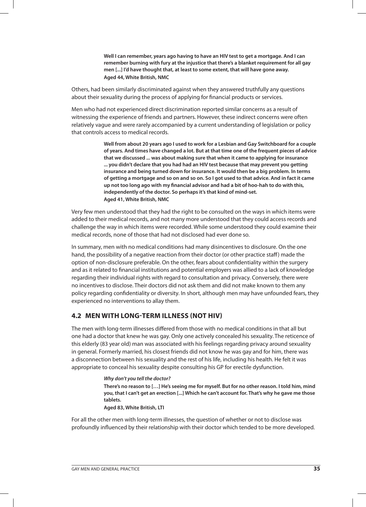**Well I can remember, years ago having to have an HIV test to get a mortgage. And I can remember burning with fury at the injustice that there's a blanket requirement for all gay men [...] I'd have thought that, at least to some extent, that will have gone away. Aged 44, White British, NMC**

Others, had been similarly discriminated against when they answered truthfully any questions about their sexuality during the process of applying for financial products or services.

Men who had not experienced direct discrimination reported similar concerns as a result of witnessing the experience of friends and partners. However, these indirect concerns were often relatively vague and were rarely accompanied by a current understanding of legislation or policy that controls access to medical records.

> **Well from about 20 years ago I used to work for a Lesbian and Gay Switchboard for a couple of years. And times have changed a lot. But at that time one of the frequent pieces of advice that we discussed ... was about making sure that when it came to applying for insurance ... you didn't declare that you had had an HIV test because that may prevent you getting insurance and being turned down for insurance. It would then be a big problem. In terms of getting a mortgage and so on and so on. So I got used to that advice. And in fact it came up not too long ago with my financial advisor and had a bit of hoo-hah to do with this, independently of the doctor. So perhaps it's that kind of mind-set. Aged 41, White British, NMC**

Very few men understood that they had the right to be consulted on the ways in which items were added to their medical records, and not many more understood that they could access records and challenge the way in which items were recorded. While some understood they could examine their medical records, none of those that had not disclosed had ever done so.

In summary, men with no medical conditions had many disincentives to disclosure. On the one hand, the possibility of a negative reaction from their doctor (or other practice staff) made the option of non-disclosure preferable. On the other, fears about confidentiality within the surgery and as it related to financial institutions and potential employers was allied to a lack of knowledge regarding their individual rights with regard to consultation and privacy. Conversely, there were no incentives to disclose. Their doctors did not ask them and did not make known to them any policy regarding confidentiality or diversity. In short, although men may have unfounded fears, they experienced no interventions to allay them.

### **4.2 MEN WITH LONG-TERM ILLNESS (NOT HIV)**

The men with long-term illnesses differed from those with no medical conditions in that all but one had a doctor that knew he was gay. Only one actively concealed his sexuality. The reticence of this elderly (83 year old) man was associated with his feelings regarding privacy around sexuality in general. Formerly married, his closest friends did not know he was gay and for him, there was a disconnection between his sexuality and the rest of his life, including his health. He felt it was appropriate to conceal his sexuality despite consulting his GP for erectile dysfunction.

> **Why don't you tell the doctor? There's no reason to […] He's seeing me for myself. But for no other reason. I told him, mind you, that I can't get an erection [...] Which he can't account for. That's why he gave me those tablets.**

**Aged 83, White British, LTI**

For all the other men with long-term illnesses, the question of whether or not to disclose was profoundly influenced by their relationship with their doctor which tended to be more developed.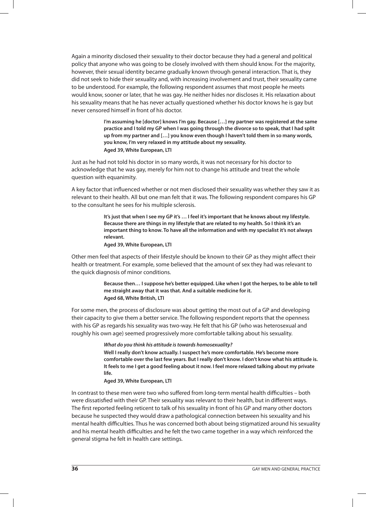Again a minority disclosed their sexuality to their doctor because they had a general and political policy that anyone who was going to be closely involved with them should know. For the majority, however, their sexual identity became gradually known through general interaction. That is, they did not seek to hide their sexuality and, with increasing involvement and trust, their sexuality came to be understood. For example, the following respondent assumes that most people he meets would know, sooner or later, that he was gay. He neither hides nor discloses it. His relaxation about his sexuality means that he has never actually questioned whether his doctor knows he is gay but never censored himself in front of his doctor.

> **I'm assuming he [doctor] knows I'm gay. Because […] my partner was registered at the same practice and I told my GP when I was going through the divorce so to speak, that I had split up from my partner and […] you know even though I haven't told them in so many words, you know, I'm very relaxed in my attitude about my sexuality. Aged 39, White European, LTI**

Just as he had not told his doctor in so many words, it was not necessary for his doctor to acknowledge that he was gay, merely for him not to change his attitude and treat the whole question with equanimity.

A key factor that influenced whether or not men disclosed their sexuality was whether they saw it as relevant to their health. All but one man felt that it was. The following respondent compares his GP to the consultant he sees for his multiple sclerosis.

> **It's just that when I see my GP it's … I feel it's important that he knows about my lifestyle. Because there are things in my lifestyle that are related to my health. So I think it's an important thing to know. To have all the information and with my specialist it's not always relevant.**

#### **Aged 39, White European, LTI**

Other men feel that aspects of their lifestyle should be known to their GP as they might affect their health or treatment. For example, some believed that the amount of sex they had was relevant to the quick diagnosis of minor conditions.

> **Because then… I suppose he's better equipped. Like when I got the herpes, to be able to tell me straight away that it was that. And a suitable medicine for it. Aged 68, White British, LTI**

For some men, the process of disclosure was about getting the most out of a GP and developing their capacity to give them a better service. The following respondent reports that the openness with his GP as regards his sexuality was two-way. He felt that his GP (who was heterosexual and roughly his own age) seemed progressively more comfortable talking about his sexuality.

**What do you think his attitude is towards homosexuality?**

**Well I really don't know actually. I suspect he's more comfortable. He's become more comfortable over the last few years. But I really don't know. I don't know what his attitude is. It feels to me I get a good feeling about it now. I feel more relaxed talking about my private life.**

#### **Aged 39, White European, LTI**

In contrast to these men were two who suffered from long-term mental health difficulties – both were dissatisfied with their GP. Their sexuality was relevant to their health, but in different ways. The first reported feeling reticent to talk of his sexuality in front of his GP and many other doctors because he suspected they would draw a pathological connection between his sexuality and his mental health difficulties. Thus he was concerned both about being stigmatized around his sexuality and his mental health difficulties and he felt the two came together in a way which reinforced the general stigma he felt in health care settings.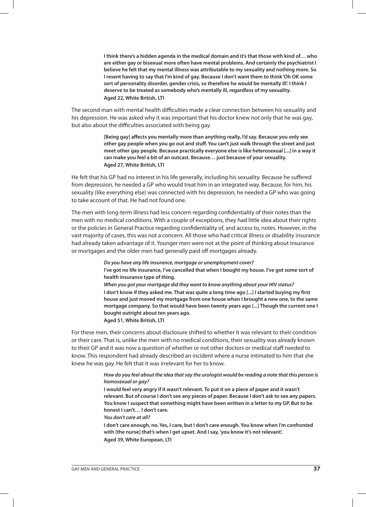**I think there's a hidden agenda in the medical domain and it's that those with kind of… who are either gay or bisexual more often have mental problems. And certainly the psychiatrist I believe he felt that my mental illness was attributable to my sexuality and nothing more. So I resent having to say that I'm kind of gay. Because I don't want them to think 'Oh OK some sort of personality disorder, gender crisis, so therefore he would be mentally ill'. I think I deserve to be treated as somebody who's mentally ill, regardless of my sexuality. Aged 22, White British, LTI**

The second man with mental health difficulties made a clear connection between his sexuality and his depression. He was asked why it was important that his doctor knew not only that he was gay, but also about the difficulties associated with being gay.

> **[Being gay] affects you mentally more than anything really, I'd say. Because you only see other gay people when you go out and stuff. You can't just walk through the street and just meet other gay people. Because practically everyone else is like heterosexual [...] in a way it can make you feel a bit of an outcast. Because… just because of your sexuality. Aged 27, White British, LTI**

He felt that his GP had no interest in his life generally, including his sexuality. Because he suffered from depression, he needed a GP who would treat him in an integrated way. Because, for him, his sexuality (like everything else) was connected with his depression, he needed a GP who was going to take account of that. He had not found one.

The men with long-term illness had less concern regarding confidentiality of their notes than the men with no medical conditions. With a couple of exceptions, they had little idea about their rights or the policies in General Practice regarding confidentiality of, and access to, notes. However, in the vast majority of cases, this was not a concern. All those who had critical illness or disability insurance had already taken advantage of it. Younger men were not at the point of thinking about insurance or mortgages and the older men had generally paid off mortgages already.

> **Do you have any life insurance, mortgage or unemployment cover? I've got no life insurance, I've cancelled that when I bought my house. I've got some sort of health insurance type of thing.**

**When you got your mortgage did they want to know anything about your HIV status? I don't know if they asked me. That was quite a long time ago [...] I started buying my first house and just moved my mortgage from one house when I brought a new one, to the same mortgage company. So that would have been twenty years ago [...] Though the current one I bought outright about ten years ago.**

**Aged 51, White British, LTI**

For these men, their concerns about disclosure shifted to whether it was relevant to their condition or their care. That is, unlike the men with no medical conditions, their sexuality was already known to their GP and it was now a question of whether or not other doctors or medical staff needed to know. This respondent had already described an incident where a nurse intimated to him that she knew he was gay. He felt that it was irrelevant for her to know.

#### **How do you feel about the idea that say the urologist would be reading a note that this person is homosexual or gay?**

**I would feel very angry if it wasn't relevant. To put it on a piece of paper and it wasn't relevant. But of course I don't see any pieces of paper. Because I don't ask to see any papers. You know I suspect that something might have been written in a letter to my GP. But to be honest I can't… I don't care.** 

**You don't care at all?**

**I don't care enough, no. Yes, I care, but I don't care enough. You know when I'm confronted with [the nurse] that's when I get upset. And I say, 'you know it's not relevant'. Aged 39, White European, LTI**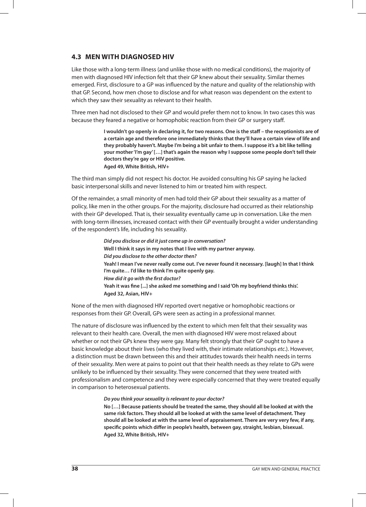## **4.3 MEN WITH DIAGNOSED HIV**

Like those with a long-term illness (and unlike those with no medical conditions), the majority of men with diagnosed HIV infection felt that their GP knew about their sexuality. Similar themes emerged. First, disclosure to a GP was influenced by the nature and quality of the relationship with that GP. Second, how men chose to disclose and for what reason was dependent on the extent to which they saw their sexuality as relevant to their health.

Three men had not disclosed to their GP and would prefer them not to know. In two cases this was because they feared a negative or homophobic reaction from their GP or surgery staff.

> **I wouldn't go openly in declaring it, for two reasons. One is the staff – the receptionists are of a certain age and therefore one immediately thinks that they'll have a certain view of life and they probably haven't. Maybe I'm being a bit unfair to them. I suppose it's a bit like telling your mother 'I'm gay' […] that's again the reason why I suppose some people don't tell their doctors they're gay or HIV positive. Aged 49, White British, HIV+**

The third man simply did not respect his doctor. He avoided consulting his GP saying he lacked basic interpersonal skills and never listened to him or treated him with respect.

Of the remainder, a small minority of men had told their GP about their sexuality as a matter of policy, like men in the other groups. For the majority, disclosure had occurred as their relationship with their GP developed. That is, their sexuality eventually came up in conversation. Like the men with long-term illnesses, increased contact with their GP eventually brought a wider understanding of the respondent's life, including his sexuality.

> **Did you disclose or did it just come up in conversation? Well I think it says in my notes that I live with my partner anyway. Did you disclose to the other doctor then? Yeah! I mean I've never really come out. I've never found it necessary. [laugh] In that I think I'm quite… I'd like to think I'm quite openly gay. How did it go with the first doctor? Yeah it was fine [...] she asked me something and I said 'Oh my boyfriend thinks this'. Aged 32, Asian, HIV+**

None of the men with diagnosed HIV reported overt negative or homophobic reactions or responses from their GP. Overall, GPs were seen as acting in a professional manner.

The nature of disclosure was influenced by the extent to which men felt that their sexuality was relevant to their health care. Overall, the men with diagnosed HIV were most relaxed about whether or not their GPs knew they were gay. Many felt strongly that their GP ought to have a basic knowledge about their lives (who they lived with, their intimate relationships etc.). However, a distinction must be drawn between this and their attitudes towards their health needs in terms of their sexuality. Men were at pains to point out that their health needs as they relate to GPs were unlikely to be influenced by their sexuality. They were concerned that they were treated with professionalism and competence and they were especially concerned that they were treated equally in comparison to heterosexual patients.

#### **Do you think your sexuality is relevant to your doctor?**

**No […] Because patients should be treated the same, they should all be looked at with the same risk factors. They should all be looked at with the same level of detachment. They should all be looked at with the same level of appraisement. There are very very few, if any, specific points which differ in people's health, between gay, straight, lesbian, bisexual. Aged 32, White British, HIV+**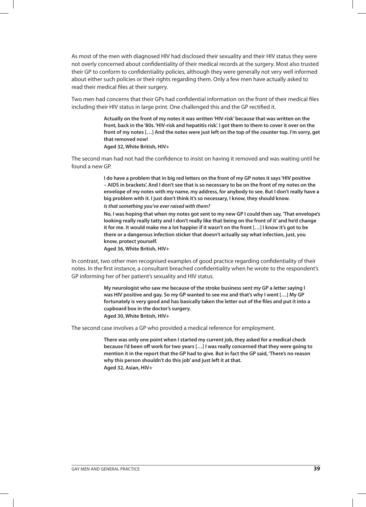As most of the men with diagnosed HIV had disclosed their sexuality and their HIV status they were not overly concerned about confidentiality of their medical records at the surgery. Most also trusted their GP to conform to confidentiality policies, although they were generally not very well informed about either such policies or their rights regarding them. Only a few men have actually asked to read their medical files at their surgery.

Two men had concerns that their GPs had confidential information on the front of their medical files including their HIV status in large print. One challenged this and the GP rectified it.

> **Actually on the front of my notes it was written 'HIV-risk' because that was written on the front, back in the '80s. 'HIV-risk and hepatitis risk'. I got them to them to cover it over on the front of my notes […] And the notes were just left on the top of the counter top. I'm sorry, get that removed now!**

**Aged 32, White British, HIV+**

The second man had not had the confidence to insist on having it removed and was waiting until he found a new GP.

> **I do have a problem that in big red letters on the front of my GP notes it says 'HIV positive – AIDS in brackets'. And I don't see that is so necessary to be on the front of my notes on the envelope of my notes with my name, my address, for anybody to see. But I don't really have a big problem with it. I just don't think it's so necessary, I know, they should know. Is that something you've ever raised with them?**

> **No, I was hoping that when my notes got sent to my new GP I could then say, 'That envelope's looking really really tatty and I don't really like that being on the front of it' and he'd change it for me. It would make me a lot happier if it wasn't on the front […] I know it's got to be there or a dangerous infection sticker that doesn't actually say what infection, just, you know, protect yourself.**

**Aged 36, White British, HIV+**

In contrast, two other men recognised examples of good practice regarding confidentiality of their notes. In the first instance, a consultant breached confidentiality when he wrote to the respondent's GP informing her of her patient's sexuality and HIV status.

> **My neurologist who saw me because of the stroke business sent my GP a letter saying I was HIV positive and gay. So my GP wanted to see me and that's why I went […] My GP fortunately is very good and has basically taken the letter out of the files and put it into a cupboard box in the doctor's surgery. Aged 30, White British, HIV+**

The second case involves a GP who provided a medical reference for employment.

**There was only one point when I started my current job, they asked for a medical check because I'd been off work for two years […] I was really concerned that they were going to mention it in the report that the GP had to give. But in fact the GP said, 'There's no reason why this person shouldn't do this job' and just left it at that. Aged 32, Asian, HIV+**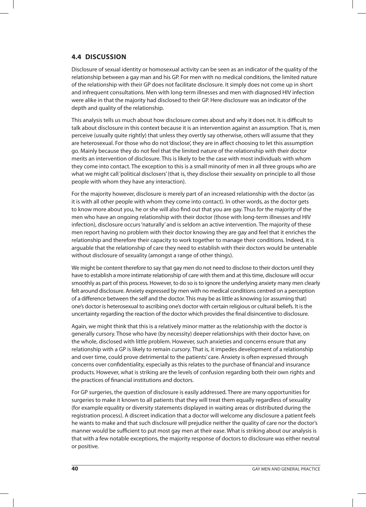## **4.4 DISCUSSION**

Disclosure of sexual identity or homosexual activity can be seen as an indicator of the quality of the relationship between a gay man and his GP. For men with no medical conditions, the limited nature of the relationship with their GP does not facilitate disclosure. It simply does not come up in short and infrequent consultations. Men with long-term illnesses and men with diagnosed HIV infection were alike in that the majority had disclosed to their GP. Here disclosure was an indicator of the depth and quality of the relationship.

This analysis tells us much about how disclosure comes about and why it does not. It is difficult to talk about disclosure in this context because it is an intervention against an assumption. That is, men perceive (usually quite rightly) that unless they overtly say otherwise, others will assume that they are heterosexual. For those who do not 'disclose', they are in affect choosing to let this assumption go. Mainly because they do not feel that the limited nature of the relationship with their doctor merits an intervention of disclosure. This is likely to be the case with most individuals with whom they come into contact. The exception to this is a small minority of men in all three groups who are what we might call 'political disclosers' (that is, they disclose their sexuality on principle to all those people with whom they have any interaction).

For the majority however, disclosure is merely part of an increased relationship with the doctor (as it is with all other people with whom they come into contact). In other words, as the doctor gets to know more about you, he or she will also find out that you are gay. Thus for the majority of the men who have an ongoing relationship with their doctor (those with long-term illnesses and HIV infection), disclosure occurs 'naturally' and is seldom an active intervention. The majority of these men report having no problem with their doctor knowing they are gay and feel that it enriches the relationship and therefore their capacity to work together to manage their conditions. Indeed, it is arguable that the relationship of care they need to establish with their doctors would be untenable without disclosure of sexuality (amongst a range of other things).

We might be content therefore to say that gay men do not need to disclose to their doctors until they have to establish a more intimate relationship of care with them and at this time, disclosure will occur smoothly as part of this process. However, to do so is to ignore the underlying anxiety many men clearly felt around disclosure. Anxiety expressed by men with no medical conditions centred on a perception of a difference between the self and the doctor. This may be as little as knowing (or assuming that) one's doctor is heterosexual to ascribing one's doctor with certain religious or cultural beliefs. It is the uncertainty regarding the reaction of the doctor which provides the final disincentive to disclosure.

Again, we might think that this is a relatively minor matter as the relationship with the doctor is generally cursory. Those who have (by necessity) deeper relationships with their doctor have, on the whole, disclosed with little problem. However, such anxieties and concerns ensure that any relationship with a GP is likely to remain cursory. That is, it impedes development of a relationship and over time, could prove detrimental to the patients' care. Anxiety is often expressed through concerns over confidentiality, especially as this relates to the purchase of financial and insurance products. However, what is striking are the levels of confusion regarding both their own rights and the practices of financial institutions and doctors.

For GP surgeries, the question of disclosure is easily addressed. There are many opportunities for surgeries to make it known to all patients that they will treat them equally regardless of sexuality (for example equality or diversity statements displayed in waiting areas or distributed during the registration process). A discreet indication that a doctor will welcome any disclosure a patient feels he wants to make and that such disclosure will prejudice neither the quality of care nor the doctor's manner would be sufficient to put most gay men at their ease. What is striking about our analysis is that with a few notable exceptions, the majority response of doctors to disclosure was either neutral or positive.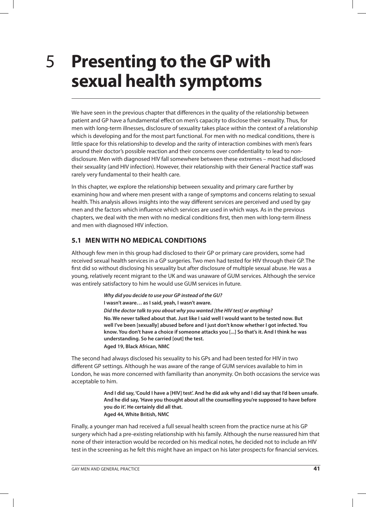## **Presenting to the GP with sexual health symptoms**

We have seen in the previous chapter that differences in the quality of the relationship between patient and GP have a fundamental effect on men's capacity to disclose their sexuality. Thus, for men with long-term illnesses, disclosure of sexuality takes place within the context of a relationship which is developing and for the most part functional. For men with no medical conditions, there is little space for this relationship to develop and the rarity of interaction combines with men's fears around their doctor's possible reaction and their concerns over confidentiality to lead to nondisclosure. Men with diagnosed HIV fall somewhere between these extremes – most had disclosed their sexuality (and HIV infection). However, their relationship with their General Practice staff was rarely very fundamental to their health care.

In this chapter, we explore the relationship between sexuality and primary care further by examining how and where men present with a range of symptoms and concerns relating to sexual health. This analysis allows insights into the way different services are perceived and used by gay men and the factors which influence which services are used in which ways. As in the previous chapters, we deal with the men with no medical conditions first, then men with long-term illness and men with diagnosed HIV infection.

## **5.1 MEN WITH NO MEDICAL CONDITIONS**

Although few men in this group had disclosed to their GP or primary care providers, some had received sexual health services in a GP surgeries. Two men had tested for HIV through their GP. The first did so without disclosing his sexuality but after disclosure of multiple sexual abuse. He was a young, relatively recent migrant to the UK and was unaware of GUM services. Although the service was entirely satisfactory to him he would use GUM services in future.

> **Why did you decide to use your GP instead of the GU? I wasn't aware… as I said, yeah, I wasn't aware. Did the doctor talk to you about why you wanted [the HIV test] or anything? No. We never talked about that. Just like I said well I would want to be tested now. But well I've been [sexually] abused before and I just don't know whether I got infected. You know. You don't have a choice if someone attacks you [...] So that's it. And I think he was understanding. So he carried [out] the test. Aged 19, Black African, NMC**

The second had always disclosed his sexuality to his GPs and had been tested for HIV in two different GP settings. Although he was aware of the range of GUM services available to him in London, he was more concerned with familiarity than anonymity. On both occasions the service was acceptable to him.

> **And I did say, 'Could I have a [HIV] test'. And he did ask why and I did say that I'd been unsafe. And he did say, 'Have you thought about all the counselling you're supposed to have before you do it'. He certainly did all that. Aged 44, White British, NMC**

Finally, a younger man had received a full sexual health screen from the practice nurse at his GP surgery which had a pre-existing relationship with his family. Although the nurse reassured him that none of their interaction would be recorded on his medical notes, he decided not to include an HIV test in the screening as he felt this might have an impact on his later prospects for financial services.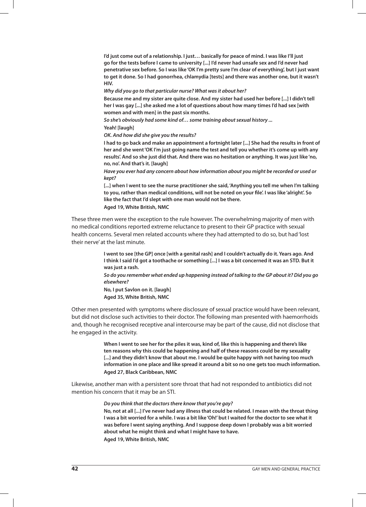**I'd just come out of a relationship. I just… basically for peace of mind. I was like I'll just go for the tests before I came to university [...] I'd never had unsafe sex and I'd never had penetrative sex before. So I was like 'OK I'm pretty sure I'm clear of everything', but I just want to get it done. So I had gonorrhea, chlamydia [tests] and there was another one, but it wasn't HIV.**

**Why did you go to that particular nurse? What was it about her?**

**Because me and my sister are quite close. And my sister had used her before [...] I didn't tell her I was gay [...] she asked me a lot of questions about how many times I'd had sex [with women and with men] in the past six months.**

**So she's obviously had some kind of… some training about sexual history ...** 

**Yeah! [laugh]**

**OK. And how did she give you the results?**

**I had to go back and make an appointment a fortnight later [...] She had the results in front of her and she went 'OK I'm just going name the test and tell you whether it's come up with any results'. And so she just did that. And there was no hesitation or anything. It was just like 'no, no, no'. And that's it. [laugh]**

**Have you ever had any concern about how information about you might be recorded or used or kept?**

**[...] when I went to see the nurse practitioner she said, 'Anything you tell me when I'm talking to you, rather than medical conditions, will not be noted on your file'. I was like 'alright'. So like the fact that I'd slept with one man would not be there. Aged 19, White British, NMC**

These three men were the exception to the rule however. The overwhelming majority of men with no medical conditions reported extreme reluctance to present to their GP practice with sexual health concerns. Several men related accounts where they had attempted to do so, but had 'lost their nerve' at the last minute.

> **I went to see [the GP] once [with a genital rash] and I couldn't actually do it. Years ago. And I think I said I'd got a toothache or something [...] I was a bit concerned it was an STD. But it was just a rash.**

**So do you remember what ended up happening instead of talking to the GP about it? Did you go elsewhere?**

**No, I put Savlon on it. [laugh] Aged 35, White British, NMC**

Other men presented with symptoms where disclosure of sexual practice would have been relevant, but did not disclose such activities to their doctor. The following man presented with haemorrhoids and, though he recognised receptive anal intercourse may be part of the cause, did not disclose that he engaged in the activity.

> **When I went to see her for the piles it was, kind of, like this is happening and there's like ten reasons why this could be happening and half of these reasons could be my sexuality**  [...] and they didn't know that about me. I would be quite happy with not having too much **information in one place and like spread it around a bit so no one gets too much information. Aged 27, Black Caribbean, NMC**

Likewise, another man with a persistent sore throat that had not responded to antibiotics did not mention his concern that it may be an STI.

**Do you think that the doctors there know that you're gay?**

**No, not at all [...] I've never had any illness that could be related. I mean with the throat thing I was a bit worried for a while. I was a bit like 'Oh!' but I waited for the doctor to see what it was before I went saying anything. And I suppose deep down I probably was a bit worried about what he might think and what I might have to have. Aged 19, White British, NMC**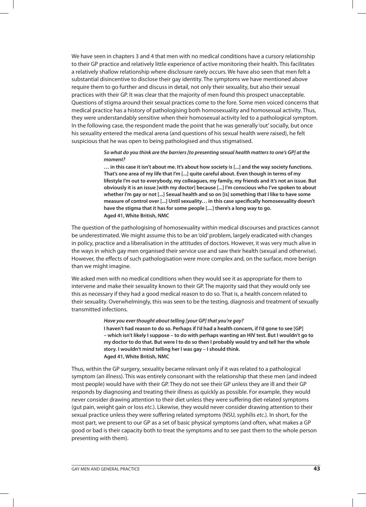We have seen in chapters 3 and 4 that men with no medical conditions have a cursory relationship to their GP practice and relatively little experience of active monitoring their health. This facilitates a relatively shallow relationship where disclosure rarely occurs. We have also seen that men felt a substantial disincentive to disclose their gay identity. The symptoms we have mentioned above require them to go further and discuss in detail, not only their sexuality, but also their sexual practices with their GP. It was clear that the majority of men found this prospect unacceptable. Questions of stigma around their sexual practices come to the fore. Some men voiced concerns that medical practice has a history of pathologising both homosexuality and homosexual activity. Thus, they were understandably sensitive when their homosexual activity led to a pathological symptom. In the following case, the respondent made the point that he was generally 'out' socially, but once his sexuality entered the medical arena (and questions of his sexual health were raised), he felt suspicious that he was open to being pathologised and thus stigmatised.

#### **So what do you think are the barriers [to presenting sexual health matters to one's GP] at the moment?**

**… in this case it isn't about me. It's about how society is [...] and the way society functions. That's one area of my life that I'm [...] quite careful about. Even though in terms of my lifestyle I'm out to everybody, my colleagues, my family, my friends and it's not an issue. But obviously it is an issue [with my doctor] because [...] I'm conscious who I've spoken to about whether I'm gay or not [...] Sexual health and so on [is] something that I like to have some measure of control over [...] Until sexuality… in this case specifically homosexuality doesn't have the stigma that it has for some people [....] there's a long way to go. Aged 41, White British, NMC** 

The question of the pathologising of homosexuality within medical discourses and practices cannot be underestimated. We might assume this to be an 'old' problem, largely eradicated with changes in policy, practice and a liberalisation in the attitudes of doctors. However, it was very much alive in the ways in which gay men organised their service use and saw their health (sexual and otherwise). However, the effects of such pathologisation were more complex and, on the surface, more benign than we might imagine.

We asked men with no medical conditions when they would see it as appropriate for them to intervene and make their sexuality known to their GP. The majority said that they would only see this as necessary if they had a good medical reason to do so. That is, a health concern related to their sexuality. Overwhelmingly, this was seen to be the testing, diagnosis and treatment of sexually transmitted infections.

#### **Have you ever thought about telling [your GP] that you're gay?**

**I haven't had reason to do so. Perhaps if I'd had a health concern, if I'd gone to see [GP] – which isn't likely I suppose – to do with perhaps wanting an HIV test. But I wouldn't go to my doctor to do that. But were I to do so then I probably would try and tell her the whole story. I wouldn't mind telling her I was gay – I should think. Aged 41, White British, NMC** 

Thus, within the GP surgery, sexuality became relevant only if it was related to a pathological symptom (an illness). This was entirely consonant with the relationship that these men (and indeed most people) would have with their GP. They do not see their GP unless they are ill and their GP responds by diagnosing and treating their illness as quickly as possible. For example, they would never consider drawing attention to their diet unless they were suffering diet-related symptoms (gut pain, weight gain or loss etc.). Likewise, they would never consider drawing attention to their sexual practice unless they were suffering related symptoms (NSU, syphilis etc.). In short, for the most part, we present to our GP as a set of basic physical symptoms (and often, what makes a GP good or bad is their capacity both to treat the symptoms and to see past them to the whole person presenting with them).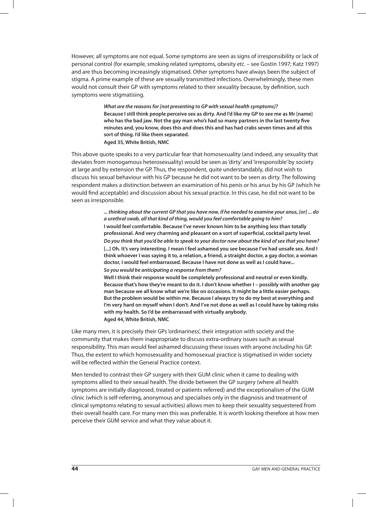However, all symptoms are not equal. Some symptoms are seen as signs of irresponsibility or lack of personal control (for example, smoking related symptoms, obesity etc. – see Gostin 1997; Katz 1997) and are thus becoming increasingly stigmatised. Other symptoms have always been the subject of stigma. A prime example of these are sexually transmitted infections. Overwhelmingly, these men would not consult their GP with symptoms related to their sexuality because, by definition, such symptoms were stigmatising.

> **What are the reasons for [not presenting to GP with sexual health symptoms]? Because I still think people perceive sex as dirty. And I'd like my GP to see me as Mr [name] who has the bad jaw. Not the gay man who's had so many partners in the last twenty five minutes and, you know, does this and does this and has had crabs seven times and all this sort of thing. I'd like them separated. Aged 35, White British, NMC**

This above quote speaks to a very particular fear that homosexuality (and indeed, any sexuality that deviates from monogamous heterosexuality) would be seen as 'dirty' and 'irresponsible' by society at large and by extension the GP. Thus, the respondent, quite understandably, did not wish to discuss his sexual behaviour with his GP because he did not want to be seen as dirty. The following respondent makes a distinction between an examination of his penis or his anus by his GP (which he would find acceptable) and discussion about his sexual practice. In this case, he did not want to be seen as irresponsible.

> **... thinking about the current GP that you have now, if he needed to examine your anus, [or] ... do a urethral swab, all that kind of thing, would you feel comfortable going to him? I would feel comfortable. Because I've never known him to be anything less than totally professional. And very charming and pleasant on a sort of superficial, cocktail party level. Do you think that you'd be able to speak to your doctor now about the kind of sex that you have? [...] Oh. It's very interesting. I mean I feel ashamed you see because I've had unsafe sex. And I think whoever I was saying it to, a relation, a friend, a straight doctor, a gay doctor, a woman doctor, I would feel embarrassed. Because I have not done as well as I could have... So you would be anticipating a response from them?**

> **Well I think their response would be completely professional and neutral or even kindly. Because that's how they're meant to do it. I don't know whether I – possibly with another gay man because we all know what we're like on occasions. It might be a little easier perhaps. But the problem would be within me. Because I always try to do my best at everything and I'm very hard on myself when I don't. And I've not done as well as I could have by taking risks with my health. So I'd be embarrassed with virtually anybody. Aged 44, White British, NMC**

Like many men, it is precisely their GPs 'ordinariness', their integration with society and the community that makes them inappropriate to discuss extra-ordinary issues such as sexual responsibility. This man would feel ashamed discussing these issues with anyone *including* his GP. Thus, the extent to which homosexuality and homosexual practice is stigmatised in wider society will be reflected within the General Practice context.

Men tended to contrast their GP surgery with their GUM clinic when it came to dealing with symptoms allied to their sexual health. The divide between the GP surgery (where all health symptoms are initially diagnosed, treated or patients referred) and the exceptionalism of the GUM clinic (which is self-referring, anonymous and specialises only in the diagnosis and treatment of clinical symptoms relating to sexual activities) allows men to keep their sexuality sequestered from their overall health care. For many men this was preferable. It is worth looking therefore at how men perceive their GUM service and what they value about it.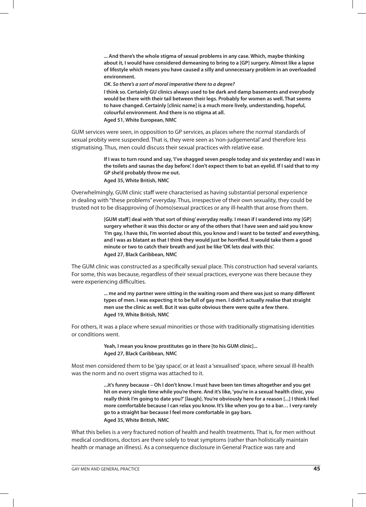**... And there's the whole stigma of sexual problems in any case. Which, maybe thinking about it, I would have considered demeaning to bring to a [GP] surgery. Almost like a lapse of lifestyle which means you have caused a silly and unnecessary problem in an overloaded environment.**

**OK. So there's a sort of moral imperative there to a degree?** 

**I think so. Certainly GU clinics always used to be dark and damp basements and everybody would be there with their tail between their legs. Probably for women as well. That seems to have changed. Certainly [clinic name] is a much more lively, understanding, hopeful, colourful environment. And there is no stigma at all. Aged 51, White European, NMC**

GUM services were seen, in opposition to GP services, as places where the normal standards of sexual probity were suspended. That is, they were seen as 'non-judgemental' and therefore less stigmatising. Thus, men could discuss their sexual practices with relative ease.

> **If I was to turn round and say, 'I've shagged seven people today and six yesterday and I was in the toilets and saunas the day before'. I don't expect them to bat an eyelid. If I said that to my GP she'd probably throw me out. Aged 35, White British, NMC**

Overwhelmingly, GUM clinic staff were characterised as having substantial personal experience in dealing with "these problems" everyday. Thus, irrespective of their own sexuality, they could be trusted not to be disapproving of (homo)sexual practices or any ill-health that arose from them.

> **[GUM staff] deal with 'that sort of thing' everyday really. I mean if I wandered into my [GP] surgery whether it was this doctor or any of the others that I have seen and said you know 'I'm gay, I have this, I'm worried about this, you know and I want to be tested' and everything, and I was as blatant as that I think they would just be horrified. It would take them a good minute or two to catch their breath and just be like 'OK lets deal with this'. Aged 27, Black Caribbean, NMC**

The GUM clinic was constructed as a specifically sexual place. This construction had several variants. For some, this was because, regardless of their sexual practices, everyone was there because they were experiencing difficulties.

> **... me and my partner were sitting in the waiting room and there was just so many different types of men. I was expecting it to be full of gay men. I didn't actually realise that straight men use the clinic as well. But it was quite obvious there were quite a few there. Aged 19, White British, NMC**

For others, it was a place where sexual minorities or those with traditionally stigmatising identities or conditions went.

> **Yeah, I mean you know prostitutes go in there [to his GUM clinic]... Aged 27, Black Caribbean, NMC**

Most men considered them to be 'gay space', or at least a 'sexualised' space, where sexual ill-health was the norm and no overt stigma was attached to it.

> **...it's funny because – Oh I don't know. I must have been ten times altogether and you get hit on every single time while you're there. And it's like, 'you're in a sexual health clinic, you really think I'm going to date you?' [laugh]. You're obviously here for a reason [...] I think I feel more comfortable because I can relax you know. It's like when you go to a bar… I very rarely go to a straight bar because I feel more comfortable in gay bars. Aged 35, White British, NMC**

What this belies is a very fractured notion of health and health treatments. That is, for men without medical conditions, doctors are there solely to treat symptoms (rather than holistically maintain health or manage an illness). As a consequence disclosure in General Practice was rare and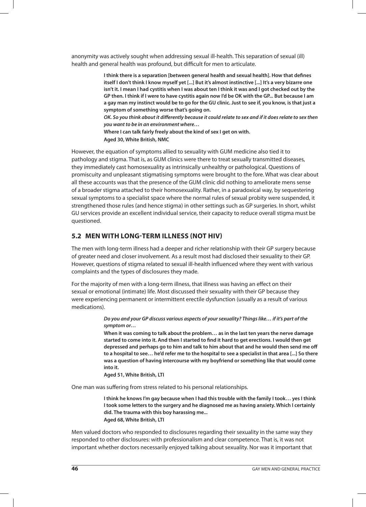anonymity was actively sought when addressing sexual ill-health. This separation of sexual (ill) health and general health was profound, but difficult for men to articulate.

> **I think there is a separation [between general health and sexual health]. How that defines itself I don't think I know myself yet [...] But it's almost instinctive [...] It's a very bizarre one isn't it. I mean I had cystitis when I was about ten I think it was and I got checked out by the GP then. I think if I were to have cystitis again now I'd be OK with the GP... But because I am a gay man my instinct would be to go for the GU clinic. Just to see if, you know, is that just a symptom of something worse that's going on.**

> **OK. So you think about it differently because it could relate to sex and if it does relate to sex then you want to be in an environment where…**

**Where I can talk fairly freely about the kind of sex I get on with. Aged 30, White British, NMC**

However, the equation of symptoms allied to sexuality with GUM medicine also tied it to pathology and stigma. That is, as GUM clinics were there to treat sexually transmitted diseases, they immediately cast homosexuality as intrinsically unhealthy or pathological. Questions of promiscuity and unpleasant stigmatising symptoms were brought to the fore. What was clear about all these accounts was that the presence of the GUM clinic did nothing to ameliorate mens sense of a broader stigma attached to their homosexuality. Rather, in a paradoxical way, by sequestering sexual symptoms to a specialist space where the normal rules of sexual probity were suspended, it strengthened those rules (and hence stigma) in other settings such as GP surgeries. In short, whilst GU services provide an excellent individual service, their capacity to reduce overall stigma must be questioned.

## **5.2 MEN WITH LONG-TERM ILLNESS (NOT HIV)**

The men with long-term illness had a deeper and richer relationship with their GP surgery because of greater need and closer involvement. As a result most had disclosed their sexuality to their GP. However, questions of stigma related to sexual ill-health influenced where they went with various complaints and the types of disclosures they made.

For the majority of men with a long-term illness, that illness was having an effect on their sexual or emotional (intimate) life. Most discussed their sexuality with their GP because they were experiencing permanent or intermittent erectile dysfunction (usually as a result of various medications).

> **Do you and your GP discuss various aspects of your sexuality? Things like… if it's part of the symptom or…**

**When it was coming to talk about the problem… as in the last ten years the nerve damage started to come into it. And then I started to find it hard to get erections. I would then get depressed and perhaps go to him and talk to him about that and he would then send me off to a hospital to see… he'd refer me to the hospital to see a specialist in that area [...] So there was a question of having intercourse with my boyfriend or something like that would come into it.**

**Aged 51, White British, LTI**

One man was suffering from stress related to his personal relationships.

**I think he knows I'm gay because when I had this trouble with the family I took… yes I think I took some letters to the surgery and he diagnosed me as having anxiety. Which I certainly did. The trauma with this boy harassing me... Aged 68, White British, LTI**

Men valued doctors who responded to disclosures regarding their sexuality in the same way they responded to other disclosures: with professionalism and clear competence. That is, it was not important whether doctors necessarily enjoyed talking about sexuality. Nor was it important that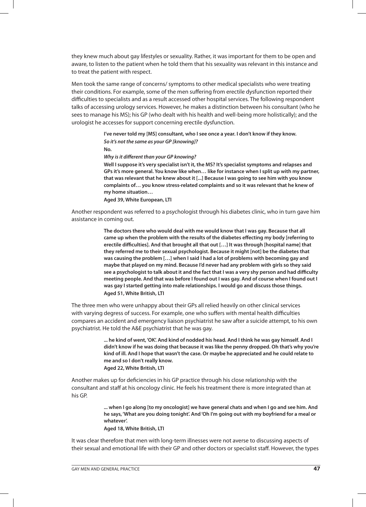they knew much about gay lifestyles or sexuality. Rather, it was important for them to be open and aware, to listen to the patient when he told them that his sexuality was relevant in this instance and to treat the patient with respect.

Men took the same range of concerns/ symptoms to other medical specialists who were treating their conditions. For example, some of the men suffering from erectile dysfunction reported their difficulties to specialists and as a result accessed other hospital services. The following respondent talks of accessing urology services. However, he makes a distinction between his consultant (who he sees to manage his MS); his GP (who dealt with his health and well-being more holistically); and the urologist he accesses for support concerning erectile dysfunction.

> **I've never told my [MS] consultant, who I see once a year. I don't know if they know. So it's not the same as your GP [knowing]? No.**

**Why is it different than your GP knowing?**

**Well I suppose it's very specialist isn't it, the MS? It's specialist symptoms and relapses and GPs it's more general. You know like when… like for instance when I split up with my partner, that was relevant that he knew about it [...] Because I was going to see him with you know complaints of… you know stress-related complaints and so it was relevant that he knew of my home situation…**

**Aged 39, White European, LTI**

Another respondent was referred to a psychologist through his diabetes clinic, who in turn gave him assistance in coming out.

> **The doctors there who would deal with me would know that I was gay. Because that all came up when the problem with the results of the diabetes effecting my body [referring to erectile difficulties]. And that brought all that out […] It was through [hospital name] that they referred me to their sexual psychologist. Because it might [not] be the diabetes that was causing the problem […] when I said I had a lot of problems with becoming gay and maybe that played on my mind. Because I'd never had any problem with girls so they said see a psychologist to talk about it and the fact that I was a very shy person and had difficulty meeting people. And that was before I found out I was gay. And of course when I found out I was gay I started getting into male relationships. I would go and discuss those things. Aged 51, White British, LTI**

The three men who were unhappy about their GPs all relied heavily on other clinical services with varying degress of success. For example, one who suffers with mental health difficulties compares an accident and emergency liaison psychiatrist he saw after a suicide attempt, to his own psychiatrist. He told the A&E psychiatrist that he was gay.

> **... he kind of went, 'OK'. And kind of nodded his head. And I think he was gay himself. And I didn't know if he was doing that because it was like the penny dropped. Oh that's why you're kind of ill. And I hope that wasn't the case. Or maybe he appreciated and he could relate to me and so I don't really know.**

**Aged 22, White British, LTI** 

Another makes up for deficiencies in his GP practice through his close relationship with the consultant and staff at his oncology clinic. He feels his treatment there is more integrated than at his GP.

> **... when I go along [to my oncologist] we have general chats and when I go and see him. And he says, 'What are you doing tonight'. And 'Oh I'm going out with my boyfriend for a meal or whatever'.**

**Aged 18, White British, LTI**

It was clear therefore that men with long-term illnesses were not averse to discussing aspects of their sexual and emotional life with their GP and other doctors or specialist staff. However, the types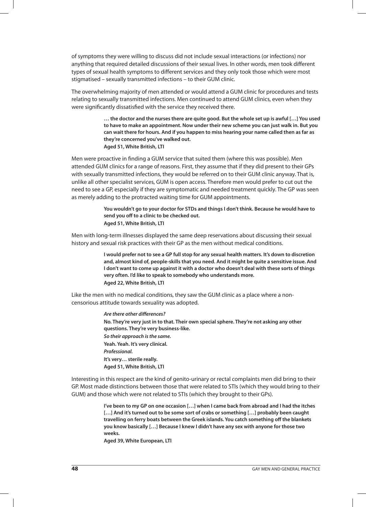of symptoms they were willing to discuss did not include sexual interactions (or infections) nor anything that required detailed discussions of their sexual lives. In other words, men took different types of sexual health symptoms to different services and they only took those which were most stigmatised – sexually transmitted infections – to their GUM clinic.

The overwhelming majority of men attended or would attend a GUM clinic for procedures and tests relating to sexually transmitted infections. Men continued to attend GUM clinics, even when they were significantly dissatisfied with the service they received there.

> **… the doctor and the nurses there are quite good. But the whole set up is awful […] You used to have to make an appointment. Now under their new scheme you can just walk in. But you can wait there for hours. And if you happen to miss hearing your name called then as far as they're concerned you've walked out. Aged 51, White British, LTI**

Men were proactive in finding a GUM service that suited them (where this was possible). Men attended GUM clinics for a range of reasons. First, they assume that if they did present to their GPs with sexually transmitted infections, they would be referred on to their GUM clinic anyway. That is, unlike all other specialist services, GUM is open access. Therefore men would prefer to cut out the need to see a GP, especially if they are symptomatic and needed treatment quickly. The GP was seen as merely adding to the protracted waiting time for GUM appointments.

> **You wouldn't go to your doctor for STDs and things I don't think. Because he would have to send you off to a clinic to be checked out. Aged 51, White British, LTI**

Men with long-term illnesses displayed the same deep reservations about discussing their sexual history and sexual risk practices with their GP as the men without medical conditions.

> **I would prefer not to see a GP full stop for any sexual health matters. It's down to discretion and, almost kind of, people-skills that you need. And it might be quite a sensitive issue. And I don't want to come up against it with a doctor who doesn't deal with these sorts of things very often. I'd like to speak to somebody who understands more. Aged 22, White British, LTI**

Like the men with no medical conditions, they saw the GUM clinic as a place where a noncensorious attitude towards sexuality was adopted.

> **Are there other differences? No. They're very just in to that. Their own special sphere. They're not asking any other questions. They're very business-like. So their approach is the same. Yeah. Yeah. It's very clinical. Professional. It's very… sterile really. Aged 51, White British, LTI**

Interesting in this respect are the kind of genito-urinary or rectal complaints men did bring to their GP. Most made distinctions between those that were related to STIs (which they would bring to their GUM) and those which were not related to STIs (which they brought to their GPs).

> **I've been to my GP on one occasion […] when I came back from abroad and I had the itches […] And it's turned out to be some sort of crabs or something […] probably been caught travelling on ferry boats between the Greek islands. You catch something off the blankets you know basically […] Because I knew I didn't have any sex with anyone for those two weeks.**

**Aged 39, White European, LTI**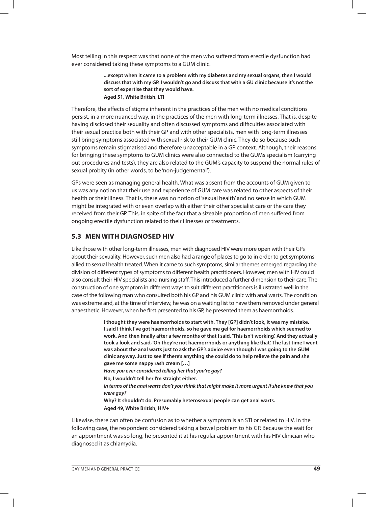Most telling in this respect was that none of the men who suffered from erectile dysfunction had ever considered taking these symptoms to a GUM clinic.

> **...except when it came to a problem with my diabetes and my sexual organs, then I would discuss that with my GP. I wouldn't go and discuss that with a GU clinic because it's not the sort of expertise that they would have. Aged 51, White British, LTI**

Therefore, the effects of stigma inherent in the practices of the men with no medical conditions persist, in a more nuanced way, in the practices of the men with long-term illnesses. That is, despite having disclosed their sexuality and often discussed symptoms and difficulties associated with their sexual practice both with their GP and with other specialists, men with long-term illnesses still bring symptoms associated with sexual risk to their GUM clinic. They do so because such symptoms remain stigmatised and therefore unacceptable in a GP context. Although, their reasons for bringing these symptoms to GUM clinics were also connected to the GUMs specialism (carrying out procedures and tests), they are also related to the GUM's capacity to suspend the normal rules of sexual probity (in other words, to be 'non-judgemental').

GPs were seen as managing general health. What was absent from the accounts of GUM given to us was any notion that their use and experience of GUM care was related to other aspects of their health or their illness. That is, there was no notion of 'sexual health' and no sense in which GUM might be integrated with or even overlap with either their other specialist care or the care they received from their GP. This, in spite of the fact that a sizeable proportion of men suffered from ongoing erectile dysfunction related to their illnesses or treatments.

## **5.3 MEN WITH DIAGNOSED HIV**

Like those with other long-term illnesses, men with diagnosed HIV were more open with their GPs about their sexuality. However, such men also had a range of places to go to in order to get symptoms allied to sexual health treated. When it came to such symptoms, similar themes emerged regarding the division of different types of symptoms to different health practitioners. However, men with HIV could also consult their HIV specialists and nursing staff. This introduced a further dimension to their care. The construction of one symptom in different ways to suit different practitioners is illustrated well in the case of the following man who consulted both his GP and his GUM clinic with anal warts. The condition was extreme and, at the time of interview, he was on a waiting list to have them removed under general anaesthetic. However, when he first presented to his GP, he presented them as haemorrhoids.

> **I thought they were haemorrhoids to start with. They [GP] didn't look, it was my mistake. I said I think I've got haemorrhoids, so he gave me gel for haemorrhoids which seemed to work. And then finally after a few months of that I said, 'This isn't working'. And they actually took a look and said, 'Oh they're not haemorrhoids or anything like that'. The last time I went was about the anal warts just to ask the GP's advice even though I was going to the GUM clinic anyway. Just to see if there's anything she could do to help relieve the pain and she gave me some nappy rash cream […]**

**Have you ever considered telling her that you're gay?** 

**No, I wouldn't tell her I'm straight either.** 

**In terms of the anal warts don't you think that might make it more urgent if she knew that you were gay?**

**Why? It shouldn't do. Presumably heterosexual people can get anal warts. Aged 49, White British, HIV+**

Likewise, there can often be confusion as to whether a symptom is an STI or related to HIV. In the following case, the respondent considered taking a bowel problem to his GP. Because the wait for an appointment was so long, he presented it at his regular appointment with his HIV clinician who diagnosed it as chlamydia.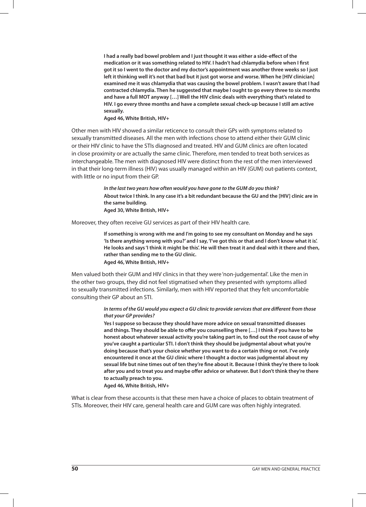**I had a really bad bowel problem and I just thought it was either a side-effect of the medication or it was something related to HIV. I hadn't had chlamydia before when I first got it so I went to the doctor and my doctor's appointment was another three weeks so I just left it thinking well it's not that bad but it just got worse and worse. When he [HIV clinician] examined me it was chlamydia that was causing the bowel problem. I wasn't aware that I had contracted chlamydia. Then he suggested that maybe I ought to go every three to six months and have a full MOT anyway […] Well the HIV clinic deals with everything that's related to HIV. I go every three months and have a complete sexual check-up because I still am active sexually.** 

**Aged 46, White British, HIV+**

Other men with HIV showed a similar reticence to consult their GPs with symptoms related to sexually transmitted diseases. All the men with infections chose to attend either their GUM clinic or their HIV clinic to have the STIs diagnosed and treated. HIV and GUM clinics are often located in close proximity or are actually the same clinic. Therefore, men tended to treat both services as interchangeable. The men with diagnosed HIV were distinct from the rest of the men interviewed in that their long-term illness (HIV) was usually managed within an HIV (GUM) out-patients context, with little or no input from their GP.

> **In the last two years how often would you have gone to the GUM do you think? About twice I think. In any case it's a bit redundant because the GU and the [HIV] clinic are in the same building. Aged 30, White British, HIV+**

Moreover, they often receive GU services as part of their HIV health care.

**If something is wrong with me and I'm going to see my consultant on Monday and he says 'Is there anything wrong with you?' and I say, 'I've got this or that and I don't know what it is'. He looks and says 'I think it might be this'. He will then treat it and deal with it there and then, rather than sending me to the GU clinic. Aged 46, White British, HIV+**

Men valued both their GUM and HIV clinics in that they were 'non-judgemental'. Like the men in the other two groups, they did not feel stigmatised when they presented with symptoms allied to sexually transmitted infections. Similarly, men with HIV reported that they felt uncomfortable consulting their GP about an STI.

#### **In terms of the GU would you expect a GU clinic to provide services that are different from those that your GP provides?**

**Yes I suppose so because they should have more advice on sexual transmitted diseases and things. They should be able to offer you counselling there […] I think if you have to be honest about whatever sexual activity you're taking part in, to find out the root cause of why you've caught a particular STI. I don't think they should be judgmental about what you're doing because that's your choice whether you want to do a certain thing or not. I've only encountered it once at the GU clinic where I thought a doctor was judgmental about my sexual life but nine times out of ten they're fine about it. Because I think they're there to look after you and to treat you and maybe offer advice or whatever. But I don't think they're there to actually preach to you.** 

**Aged 46, White British, HIV+**

What is clear from these accounts is that these men have a choice of places to obtain treatment of STIs. Moreover, their HIV care, general health care and GUM care was often highly integrated.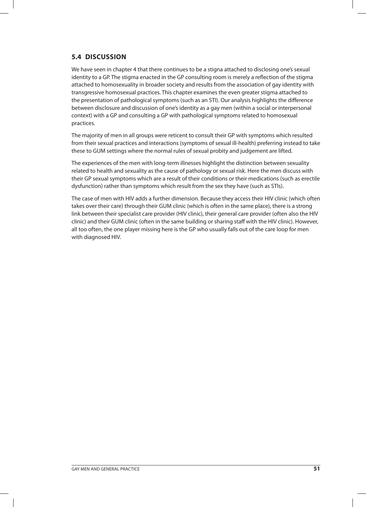## **5.4 DISCUSSION**

We have seen in chapter 4 that there continues to be a stigna attached to disclosing one's sexual identity to a GP. The stigma enacted in the GP consulting room is merely a reflection of the stigma attached to homosexuality in broader society and results from the association of gay identity with transgressive homosexual practices. This chapter examines the even greater stigma attached to the presentation of pathological symptoms (such as an STI). Our analysis highlights the difference between disclosure and discussion of one's identity as a gay men (within a social or interpersonal context) with a GP and consulting a GP with pathological symptoms related to homosexual practices.

The majority of men in all groups were reticent to consult their GP with symptoms which resulted from their sexual practices and interactions (symptoms of sexual ill-health) preferring instead to take these to GUM settings where the normal rules of sexual probity and judgement are lifted.

The experiences of the men with long-term illnesses highlight the distinction between sexuality related to health and sexuality as the cause of pathology or sexual risk. Here the men discuss with their GP sexual symptoms which are a result of their conditions or their medications (such as erectile dysfunction) rather than symptoms which result from the sex they have (such as STIs).

The case of men with HIV adds a further dimension. Because they access their HIV clinic (which often takes over their care) through their GUM clinic (which is often in the same place), there is a strong link between their specialist care provider (HIV clinic), their general care provider (often also the HIV clinic) and their GUM clinic (often in the same building or sharing staff with the HIV clinic). However, all too often, the one player missing here is the GP who usually falls out of the care loop for men with diagnosed HIV.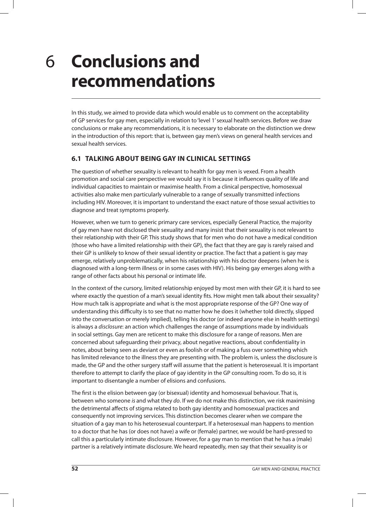## **Conclusions and recommendations** 6

In this study, we aimed to provide data which would enable us to comment on the acceptability of GP services for gay men, especially in relation to 'level 1' sexual health services. Before we draw conclusions or make any recommendations, it is necessary to elaborate on the distinction we drew in the introduction of this report: that is, between gay men's views on general health services and sexual health services.

## **6.1 TALKING ABOUT BEING GAY IN CLINICAL SETTINGS**

The question of whether sexuality is relevant to health for gay men is vexed. From a health promotion and social care perspective we would say it is because it influences quality of life and individual capacities to maintain or maximise health. From a clinical perspective, homosexual activities also make men particularly vulnerable to a range of sexually transmitted infections including HIV. Moreover, it is important to understand the exact nature of those sexual activities to diagnose and treat symptoms properly.

However, when we turn to generic primary care services, especially General Practice, the majority of gay men have not disclosed their sexuality and many insist that their sexuality is not relevant to their relationship with their GP. This study shows that for men who do not have a medical condition (those who have a limited relationship with their GP), the fact that they are gay is rarely raised and their GP is unlikely to know of their sexual identity or practice. The fact that a patient is gay may emerge, relatively unproblematically, when his relationship with his doctor deepens (when he is diagnosed with a long-term illness or in some cases with HIV). His being gay emerges along with a range of other facts about his personal or intimate life.

In the context of the cursory, limited relationship enjoyed by most men with their GP, it is hard to see where exactly the question of a man's sexual identity fits. How might men talk about their sexuality? How much talk is appropriate and what is the most appropriate response of the GP? One way of understanding this difficulty is to see that no matter how he does it (whether told directly, slipped into the conversation or merely implied), telling his doctor (or indeed anyone else in health settings) is always a *disclosure*: an action which challenges the range of assumptions made by individuals in social settings. Gay men are reticent to make this disclosure for a range of reasons. Men are concerned about safeguarding their privacy, about negative reactions, about confidentiality in notes, about being seen as deviant or even as foolish or of making a fuss over something which has limited relevance to the illness they are presenting with. The problem is, unless the disclosure is made, the GP and the other surgery staff will assume that the patient is heterosexual. It is important therefore to attempt to clarify the place of gay identity in the GP consulting room. To do so, it is important to disentangle a number of elisions and confusions.

The first is the elision between gay (or bisexual) identity and homosexual behaviour. That is, between who someone is and what they do. If we do not make this distinction, we risk maximising the detrimental affects of stigma related to both gay identity and homosexual practices and consequently not improving services. This distinction becomes clearer when we compare the situation of a gay man to his heterosexual counterpart. If a heterosexual man happens to mention to a doctor that he has (or does not have) a wife or (female) partner, we would be hard-pressed to call this a particularly intimate disclosure. However, for a gay man to mention that he has a (male) partner is a relatively intimate disclosure. We heard repeatedly, men say that their sexuality is or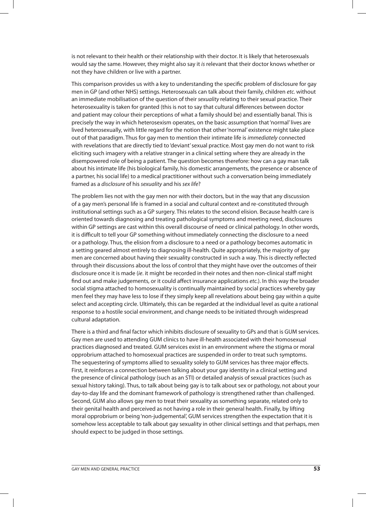is not relevant to their health or their relationship with their doctor. It is likely that heterosexuals would say the same. However, they might also say it is relevant that their doctor knows whether or not they have children or live with a partner.

This comparison provides us with a key to understanding the specific problem of disclosure for gay men in GP (and other NHS) settings. Heterosexuals can talk about their family, children etc. without an immediate mobilisation of the question of their sexuality relating to their sexual practice. Their heterosexuality is taken for granted (this is not to say that cultural differences between doctor and patient may colour their perceptions of what a family should be) and essentially banal. This is precisely the way in which heterosexism operates, on the basic assumption that 'normal' lives are lived heterosexually, with little regard for the notion that other 'normal' existence might take place out of that paradigm. Thus for gay men to mention their intimate life is *immediately* connected with revelations that are directly tied to 'deviant' sexual practice. Most gay men do not want to risk eliciting such imagery with a relative stranger in a clinical setting where they are already in the disempowered role of being a patient. The question becomes therefore: how can a gay man talk about his intimate life (his biological family, his domestic arrangements, the presence or absence of a partner, his social life) to a medical practitioner without such a conversation being immediately framed as a disclosure of his sexuality and his sex life?

The problem lies not with the gay men nor with their doctors, but in the way that any discussion of a gay men's personal life is framed in a social and cultural context and re-constituted through institutional settings such as a GP surgery. This relates to the second elision. Because health care is oriented towards diagnosing and treating pathological symptoms and meeting need, disclosures within GP settings are cast within this overall discourse of need or clinical pathology. In other words, it is difficult to tell your GP something without immediately connecting the disclosure to a need or a pathology. Thus, the elision from a disclosure to a need or a pathology becomes automatic in a setting geared almost entirely to diagnosing ill-health. Quite appropriately, the majority of gay men are concerned about having their sexuality constructed in such a way. This is directly reflected through their discussions about the loss of control that they might have over the outcomes of their disclosure once it is made (ie. it might be recorded in their notes and then non-clinical staff might find out and make judgements, or it could affect insurance applications etc.). In this way the broader social stigma attached to homosexuality is continually maintained by social practices whereby gay men feel they may have less to lose if they simply keep all revelations about being gay within a quite select and accepting circle. Ultimately, this can be regarded at the individual level as quite a rational response to a hostile social environment, and change needs to be initiated through widespread cultural adaptation.

There is a third and final factor which inhibits disclosure of sexuality to GPs and that is GUM services. Gay men are used to attending GUM clinics to have ill-health associated with their homosexual practices diagnosed and treated. GUM services exist in an environment where the stigma or moral opprobrium attached to homosexual practices are suspended in order to treat such symptoms. The sequestering of symptoms allied to sexuality solely to GUM services has three major effects. First, it reinforces a connection between talking about your gay identity in a clinical setting and the presence of clinical pathology (such as an STI) or detailed analysis of sexual practices (such as sexual history taking). Thus, to talk about being gay is to talk about sex or pathology, not about your day-to-day life and the dominant framework of pathology is strengthened rather than challenged. Second, GUM also allows gay men to treat their sexuality as something separate, related only to their genital health and perceived as not having a role in their general health. Finally, by lifting moral opprobrium or being 'non-judgemental', GUM services strengthen the expectation that it is somehow less acceptable to talk about gay sexuality in other clinical settings and that perhaps, men should expect to be judged in those settings.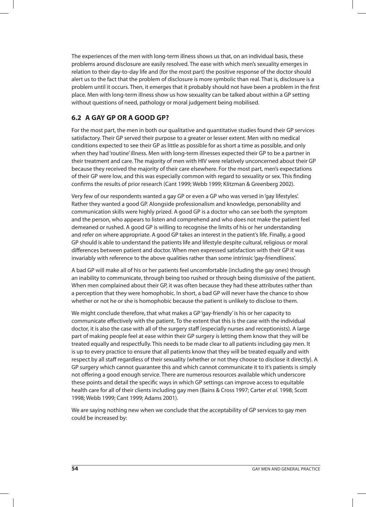The experiences of the men with long-term illness shows us that, on an individual basis, these problems around disclosure are easily resolved. The ease with which men's sexuality emerges in relation to their day-to-day life and (for the most part) the positive response of the doctor should alert us to the fact that the problem of disclosure is more symbolic than real. That is, disclosure is a problem until it occurs. Then, it emerges that it probably should not have been a problem in the first place. Men with long-term illness show us how sexuality can be talked about within a GP setting without questions of need, pathology or moral judgement being mobilised.

## **6.2 A GAY GP OR A GOOD GP?**

For the most part, the men in both our qualitative and quantitative studies found their GP services satisfactory. Their GP served their purpose to a greater or lesser extent. Men with no medical conditions expected to see their GP as little as possible for as short a time as possible, and only when they had 'routine' illness. Men with long-term illnesses expected their GP to be a partner in their treatment and care. The majority of men with HIV were relatively unconcerned about their GP because they received the majority of their care elsewhere. For the most part, men's expectations of their GP were low, and this was especially common with regard to sexuality or sex. This finding confirms the results of prior research (Cant 1999; Webb 1999; Klitzman & Greenberg 2002).

Very few of our respondents wanted a gay GP or even a GP who was versed in 'gay lifestyles'. Rather they wanted a good GP. Alongside professionalism and knowledge, personability and communication skills were highly prized. A good GP is a doctor who can see both the symptom and the person, who appears to listen and comprehend and who does not make the patient feel demeaned or rushed. A good GP is willing to recognise the limits of his or her understanding and refer on where appropriate. A good GP takes an interest in the patient's life. Finally, a good GP should is able to understand the patients life and lifestyle despite cultural, religious or moral differences between patient and doctor. When men expressed satisfaction with their GP it was invariably with reference to the above qualities rather than some intrinsic 'gay-friendliness'.

A bad GP will make all of his or her patients feel uncomfortable (including the gay ones) through an inability to communicate, through being too rushed or through being dismissive of the patient. When men complained about their GP, it was often because they had these attributes rather than a perception that they were homophobic. In short, a bad GP will never have the chance to show whether or not he or she is homophobic because the patient is unlikely to disclose to them.

We might conclude therefore, that what makes a GP 'gay-friendly' is his or her capacity to communicate effectively with the patient. To the extent that this is the case with the individual doctor, it is also the case with all of the surgery staff (especially nurses and receptionists). A large part of making people feel at ease within their GP surgery is letting them know that they will be treated equally and respectfully. This needs to be made clear to all patients including gay men. It is up to every practice to ensure that all patients know that they will be treated equally and with respect by all staff regardless of their sexuality (whether or not they choose to disclose it directly). A GP surgery which cannot guarantee this and which cannot communicate it to it's patients is simply not offering a good enough service. There are numerous resources available which underscore these points and detail the specific ways in which GP settings can improve access to equitable health care for all of their clients including gay men (Bains & Cross 1997; Carter et al. 1998; Scott 1998; Webb 1999; Cant 1999; Adams 2001).

We are saying nothing new when we conclude that the acceptability of GP services to gay men could be increased by: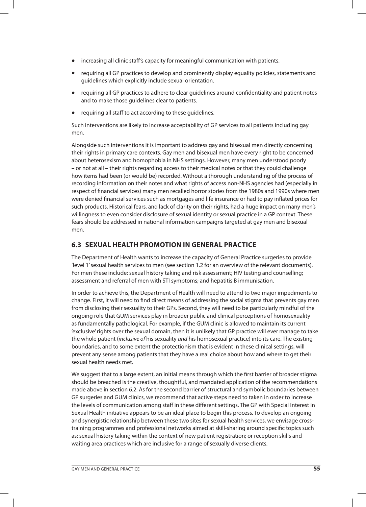- increasing all clinic staff's capacity for meaningful communication with patients.
- requiring all GP practices to develop and prominently display equality policies, statements and guidelines which explicitly include sexual orientation.
- requiring all GP practices to adhere to clear guidelines around confidentiality and patient notes and to make those guidelines clear to patients.
- requiring all staff to act according to these guidelines.

Such interventions are likely to increase acceptability of GP services to all patients including gay men.

Alongside such interventions it is important to address gay and bisexual men directly concerning their rights in primary care contexts. Gay men and bisexual men have every right to be concerned about heterosexism and homophobia in NHS settings. However, many men understood poorly – or not at all – their rights regarding access to their medical notes or that they could challenge how items had been (or would be) recorded. Without a thorough understanding of the process of recording information on their notes and what rights of access non-NHS agencies had (especially in respect of financial services) many men recalled horror stories from the 1980s and 1990s where men were denied financial services such as mortgages and life insurance or had to pay inflated prices for such products. Historical fears, and lack of clarity on their rights, had a huge impact on many men's willingness to even consider disclosure of sexual identity or sexual practice in a GP context. These fears should be addressed in national information campaigns targeted at gay men and bisexual men.

## **6.3 SEXUAL HEALTH PROMOTION IN GENERAL PRACTICE**

The Department of Health wants to increase the capacity of General Practice surgeries to provide 'level 1' sexual health services to men (see section 1.2 for an overview of the relevant documents). For men these include: sexual history taking and risk assessment; HIV testing and counselling; assessment and referral of men with STI symptoms; and hepatitis B immunisation.

In order to achieve this, the Department of Health will need to attend to two major impediments to change. First, it will need to find direct means of addressing the social stigma that prevents gay men from disclosing their sexuality to their GPs. Second, they will need to be particularly mindful of the ongoing role that GUM services play in broader public and clinical perceptions of homosexuality as fundamentally pathological. For example, if the GUM clinic is allowed to maintain its current 'exclusive' rights over the sexual domain, then it is unlikely that GP practice will ever manage to take the whole patient (inclusive of his sexuality and his homosexual practice) into its care. The existing boundaries, and to some extent the protectionism that is evident in these clinical settings, will prevent any sense among patients that they have a real choice about how and where to get their sexual health needs met.

We suggest that to a large extent, an initial means through which the first barrier of broader stigma should be breached is the creative, thoughtful, and mandated application of the recommendations made above in section 6.2. As for the second barrier of structural and symbolic boundaries between GP surgeries and GUM clinics, we recommend that active steps need to taken in order to increase the levels of communication among staff in these different settings. The GP with Special Interest in Sexual Health initiative appears to be an ideal place to begin this process. To develop an ongoing and synergistic relationship between these two sites for sexual health services, we envisage crosstraining programmes and professional networks aimed at skill-sharing around specific topics such as: sexual history taking within the context of new patient registration; or reception skills and waiting area practices which are inclusive for a range of sexually diverse clients.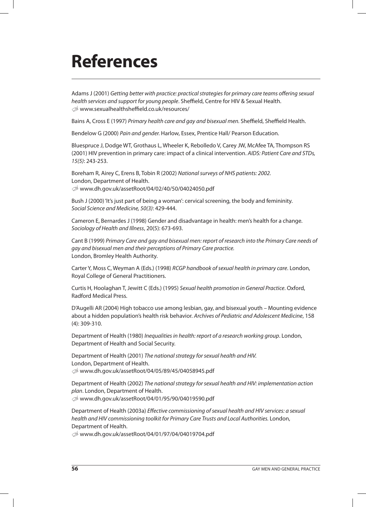## **References**

Adams J (2001) Getting better with practice: practical strategies for primary care teams offering sexual health services and support for young people. Sheffield, Centre for HIV & Sexual Health. U www.sexualhealthsheffield.co.uk/resources/

Bains A, Cross E (1997) Primary health care and gay and bisexual men. Sheffield, Sheffield Health.

Bendelow G (2000) Pain and gender. Harlow, Essex, Prentice Hall/ Pearson Education.

Bluespruce J, Dodge WT, Grothaus L, Wheeler K, Rebolledo V, Carey JW, McAfee TA, Thompson RS (2001) HIV prevention in primary care: impact of a clinical intervention. AIDS: Patient Care and STDs, 15(5): 243-253.

Boreham R, Airey C, Erens B, Tobin R (2002) National surveys of NHS patients: 2002. London, Department of Health. U www.dh.gov.uk/assetRoot/04/02/40/50/04024050.pdf

Bush J (2000) 'It's just part of being a woman': cervical screening, the body and femininity. Social Science and Medicine, 50(3): 429-444.

Cameron E, Bernardes J (1998) Gender and disadvantage in health: men's health for a change. Sociology of Health and Illness, 20(5): 673-693.

Cant B (1999) Primary Care and gay and bisexual men: report of research into the Primary Care needs of gay and bisexual men and their perceptions of Primary Care practice. London, Bromley Health Authority.

Carter Y, Moss C, Weyman A (Eds.) (1998) RCGP handbook of sexual health in primary care. London, Royal College of General Practitioners.

Curtis H, Hoolaghan T, Jewitt C (Eds.) (1995) Sexual health promotion in General Practice. Oxford, Radford Medical Press.

D'Augelli AR (2004) High tobacco use among lesbian, gay, and bisexual youth – Mounting evidence about a hidden population's health risk behavior. Archives of Pediatric and Adolescent Medicine, 158 (4): 309-310.

Department of Health (1980) Inequalities in health: report of a research working group. London, Department of Health and Social Security.

Department of Health (2001) The national strategy for sexual health and HIV. London, Department of Health. U www.dh.gov.uk/assetRoot/04/05/89/45/04058945.pdf

Department of Health (2002) The national strategy for sexual health and HIV: implementation action plan. London, Department of Health. U www.dh.gov.uk/assetRoot/04/01/95/90/04019590.pdf

Department of Health (2003a) Effective commissioning of sexual health and HIV services: a sexual health and HIV commissioning toolkit for Primary Care Trusts and Local Authorities. London, Department of Health.

U www.dh.gov.uk/assetRoot/04/01/97/04/04019704.pdf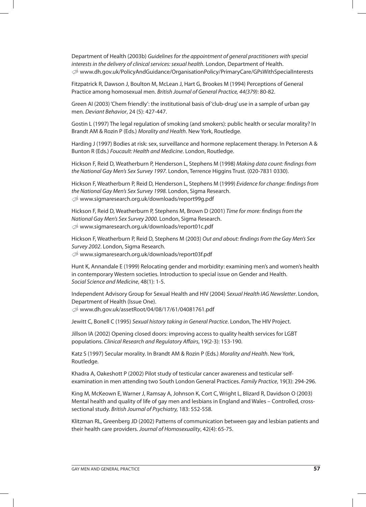Department of Health (2003b) Guidelines for the appointment of general practitioners with special interests in the delivery of clinical services: sexual health. London, Department of Health. U www.dh.gov.uk/PolicyAndGuidance/OrganisationPolicy/PrimaryCare/GPsWithSpecialInterests

Fitzpatrick R, Dawson J, Boulton M, McLean J, Hart G, Brookes M (1994) Perceptions of General Practice among homosexual men. British Journal of General Practice, 44(379): 80-82.

Green AI (2003) 'Chem friendly': the institutional basis of 'club-drug' use in a sample of urban gay men. Deviant Behavior, 24 (5): 427-447.

Gostin L (1997) The legal regulation of smoking (and smokers): public health or secular morality? In Brandt AM & Rozin P (Eds.) Morality and Health. New York, Routledge.

Harding J (1997) Bodies at risk: sex, surveillance and hormone replacement therapy. In Peterson A & Bunton R (Eds.) Foucault: Health and Medicine. London, Routledge.

Hickson F, Reid D, Weatherburn P, Henderson L, Stephens M (1998) Making data count: findings from the National Gay Men's Sex Survey 1997. London, Terrence Higgins Trust. (020-7831 0330).

Hickson F, Weatherburn P, Reid D, Henderson L, Stephens M (1999) Evidence for change: findings from the National Gay Men's Sex Survey 1998. London, Sigma Research. U www.sigmaresearch.org.uk/downloads/report99g.pdf

Hickson F, Reid D, Weatherburn P, Stephens M, Brown D (2001) Time for more: findings from the National Gay Men's Sex Survey 2000. London, Sigma Research. U www.sigmaresearch.org.uk/downloads/report01c.pdf

Hickson F, Weatherburn P, Reid D, Stephens M (2003) Out and about: findings from the Gay Men's Sex Survey 2002. London, Sigma Research. U www.sigmaresearch.org.uk/downloads/report03f.pdf

Hunt K, Annandale E (1999) Relocating gender and morbidity: examining men's and women's health in contemporary Western societies. Introduction to special issue on Gender and Health. Social Science and Medicine, 48(1): 1-5.

Independent Advisory Group for Sexual Health and HIV (2004) Sexual Health IAG Newsletter. London, Department of Health (Issue One). U www.dh.gov.uk/assetRoot/04/08/17/61/04081761.pdf

Jewitt C, Bonell C (1995) Sexual history taking in General Practice. London, The HIV Project.

Jillson IA (2002) Opening closed doors: improving access to quality health services for LGBT populations. Clinical Research and Regulatory Affairs, 19(2-3): 153-190.

Katz S (1997) Secular morality. In Brandt AM & Rozin P (Eds.) Morality and Health. New York, Routledge.

Khadra A, Oakeshott P (2002) Pilot study of testicular cancer awareness and testicular selfexamination in men attending two South London General Practices. Family Practice, 19(3): 294-296.

King M, McKeown E, Warner J, Ramsay A, Johnson K, Cort C, Wright L, Blizard R, Davidson O (2003) Mental health and quality of life of gay men and lesbians in England and Wales – Controlled, crosssectional study. British Journal of Psychiatry, 183: 552-558.

Klitzman RL, Greenberg JD (2002) Patterns of communication between gay and lesbian patients and their health care providers. Journal of Homosexuality, 42(4): 65-75.